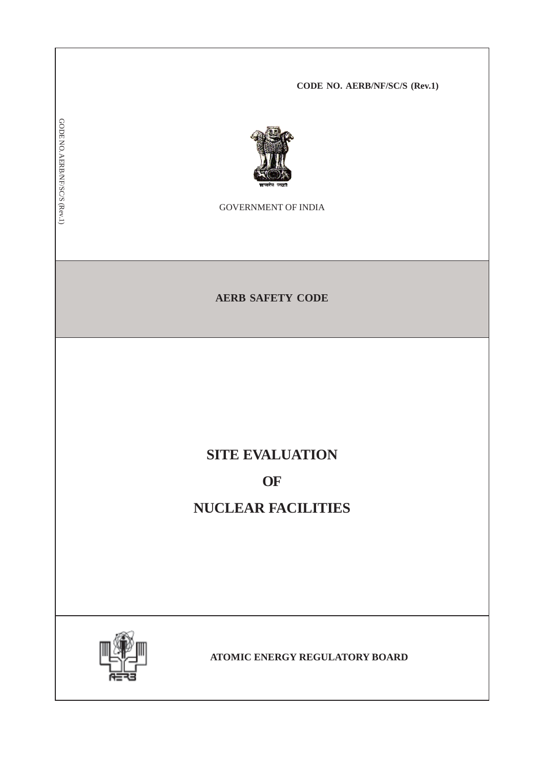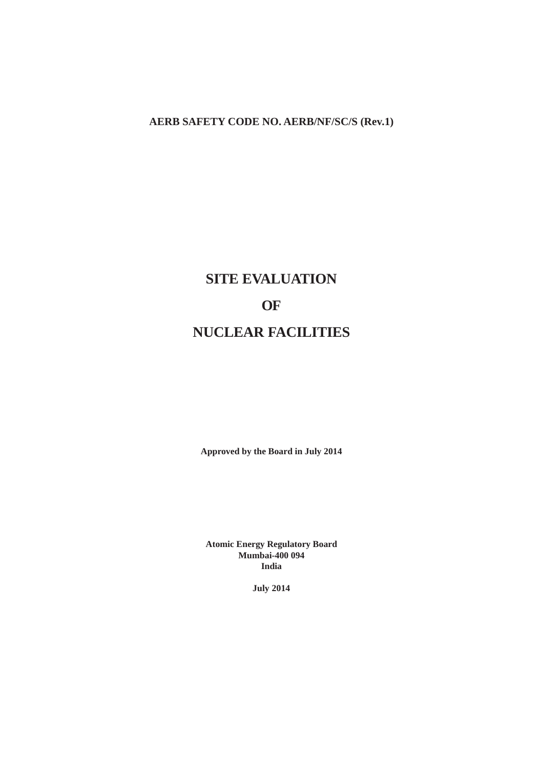# **AERB SAFETY CODE NO. AERB/NF/SC/S (Rev.1)**

# **SITE EVALUATION OF NUCLEAR FACILITIES**

**Approved by the Board in July 2014**

**Atomic Energy Regulatory Board Mumbai-400 094 India**

**July 2014**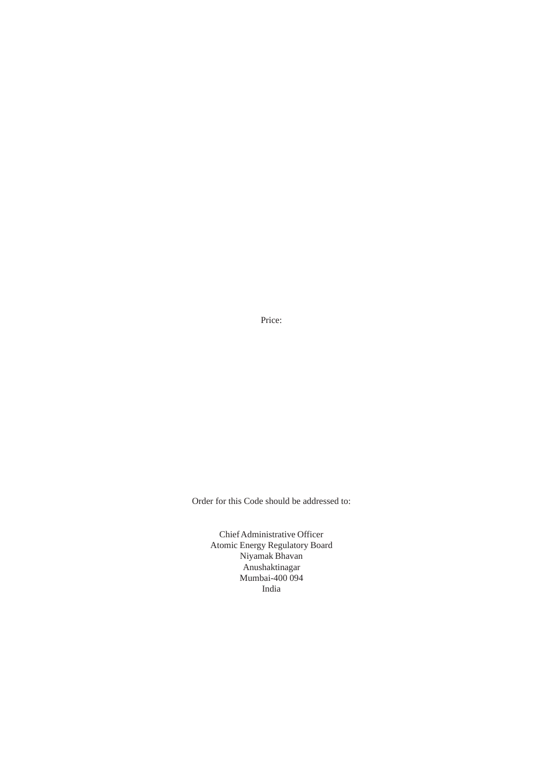Price:

Order for this Code should be addressed to:

Chief Administrative Officer Atomic Energy Regulatory Board Niyamak Bhavan Anushaktinagar Mumbai-400 094 India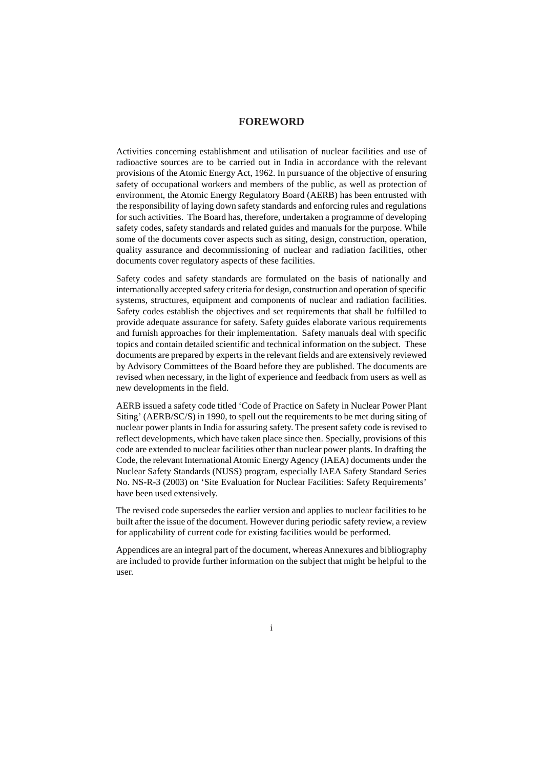# **FOREWORD**

Activities concerning establishment and utilisation of nuclear facilities and use of radioactive sources are to be carried out in India in accordance with the relevant provisions of the Atomic Energy Act, 1962. In pursuance of the objective of ensuring safety of occupational workers and members of the public, as well as protection of environment, the Atomic Energy Regulatory Board (AERB) has been entrusted with the responsibility of laying down safety standards and enforcing rules and regulations for such activities. The Board has, therefore, undertaken a programme of developing safety codes, safety standards and related guides and manuals for the purpose. While some of the documents cover aspects such as siting, design, construction, operation, quality assurance and decommissioning of nuclear and radiation facilities, other documents cover regulatory aspects of these facilities.

Safety codes and safety standards are formulated on the basis of nationally and internationally accepted safety criteria for design, construction and operation of specific systems, structures, equipment and components of nuclear and radiation facilities. Safety codes establish the objectives and set requirements that shall be fulfilled to provide adequate assurance for safety. Safety guides elaborate various requirements and furnish approaches for their implementation. Safety manuals deal with specific topics and contain detailed scientific and technical information on the subject. These documents are prepared by experts in the relevant fields and are extensively reviewed by Advisory Committees of the Board before they are published. The documents are revised when necessary, in the light of experience and feedback from users as well as new developments in the field.

AERB issued a safety code titled 'Code of Practice on Safety in Nuclear Power Plant Siting' (AERB/SC/S) in 1990, to spell out the requirements to be met during siting of nuclear power plants in India for assuring safety. The present safety code is revised to reflect developments, which have taken place since then. Specially, provisions of this code are extended to nuclear facilities other than nuclear power plants. In drafting the Code, the relevant International Atomic Energy Agency (IAEA) documents under the Nuclear Safety Standards (NUSS) program, especially IAEA Safety Standard Series No. NS-R-3 (2003) on 'Site Evaluation for Nuclear Facilities: Safety Requirements' have been used extensively.

The revised code supersedes the earlier version and applies to nuclear facilities to be built after the issue of the document. However during periodic safety review, a review for applicability of current code for existing facilities would be performed.

Appendices are an integral part of the document, whereas Annexures and bibliography are included to provide further information on the subject that might be helpful to the user.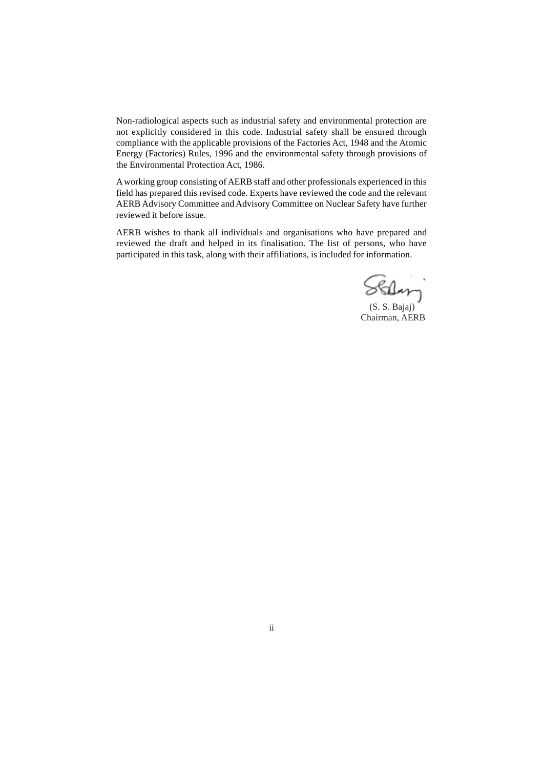Non-radiological aspects such as industrial safety and environmental protection are not explicitly considered in this code. Industrial safety shall be ensured through compliance with the applicable provisions of the Factories Act, 1948 and the Atomic Energy (Factories) Rules, 1996 and the environmental safety through provisions of the Environmental Protection Act, 1986.

A working group consisting of AERB staff and other professionals experienced in this field has prepared this revised code. Experts have reviewed the code and the relevant AERB Advisory Committee and Advisory Committee on Nuclear Safety have further reviewed it before issue.

AERB wishes to thank all individuals and organisations who have prepared and reviewed the draft and helped in its finalisation. The list of persons, who have participated in this task, along with their affiliations, is included for information.

Stilar

 (S. S. Bajaj) Chairman, AERB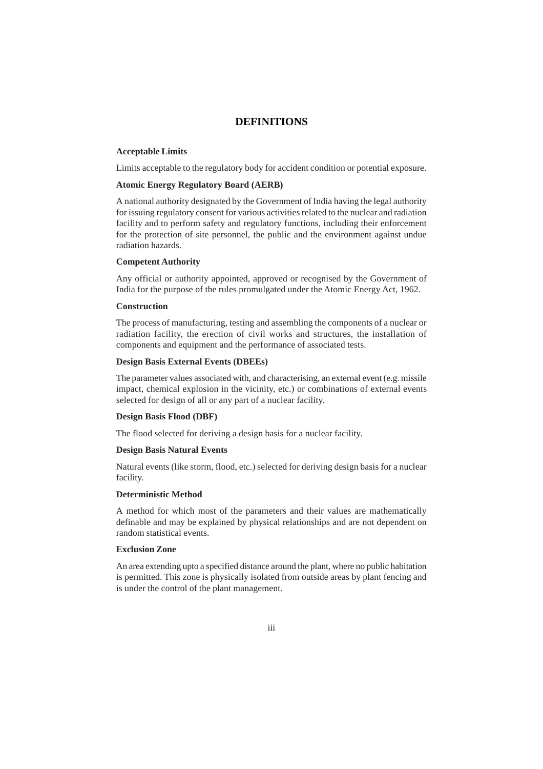# **DEFINITIONS**

#### **Acceptable Limits**

Limits acceptable to the regulatory body for accident condition or potential exposure.

#### **Atomic Energy Regulatory Board (AERB)**

A national authority designated by the Government of India having the legal authority for issuing regulatory consent for various activities related to the nuclear and radiation facility and to perform safety and regulatory functions, including their enforcement for the protection of site personnel, the public and the environment against undue radiation hazards.

#### **Competent Authority**

Any official or authority appointed, approved or recognised by the Government of India for the purpose of the rules promulgated under the Atomic Energy Act, 1962.

#### **Construction**

The process of manufacturing, testing and assembling the components of a nuclear or radiation facility, the erection of civil works and structures, the installation of components and equipment and the performance of associated tests.

#### **Design Basis External Events (DBEEs)**

The parameter values associated with, and characterising, an external event (e.g. missile impact, chemical explosion in the vicinity, etc.) or combinations of external events selected for design of all or any part of a nuclear facility.

#### **Design Basis Flood (DBF)**

The flood selected for deriving a design basis for a nuclear facility.

#### **Design Basis Natural Events**

Natural events (like storm, flood, etc.) selected for deriving design basis for a nuclear facility.

#### **Deterministic Method**

A method for which most of the parameters and their values are mathematically definable and may be explained by physical relationships and are not dependent on random statistical events.

#### **Exclusion Zone**

An area extending upto a specified distance around the plant, where no public habitation is permitted. This zone is physically isolated from outside areas by plant fencing and is under the control of the plant management.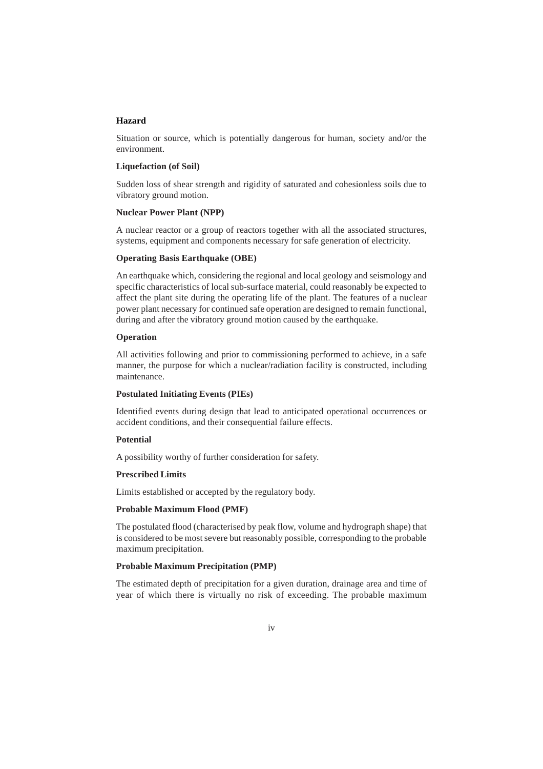#### **Hazard**

Situation or source, which is potentially dangerous for human, society and/or the environment.

#### **Liquefaction (of Soil)**

Sudden loss of shear strength and rigidity of saturated and cohesionless soils due to vibratory ground motion.

#### **Nuclear Power Plant (NPP)**

A nuclear reactor or a group of reactors together with all the associated structures, systems, equipment and components necessary for safe generation of electricity.

#### **Operating Basis Earthquake (OBE)**

An earthquake which, considering the regional and local geology and seismology and specific characteristics of local sub-surface material, could reasonably be expected to affect the plant site during the operating life of the plant. The features of a nuclear power plant necessary for continued safe operation are designed to remain functional, during and after the vibratory ground motion caused by the earthquake.

#### **Operation**

All activities following and prior to commissioning performed to achieve, in a safe manner, the purpose for which a nuclear/radiation facility is constructed, including maintenance.

#### **Postulated Initiating Events (PIEs)**

Identified events during design that lead to anticipated operational occurrences or accident conditions, and their consequential failure effects.

#### **Potential**

A possibility worthy of further consideration for safety.

#### **Prescribed Limits**

Limits established or accepted by the regulatory body.

#### **Probable Maximum Flood (PMF)**

The postulated flood (characterised by peak flow, volume and hydrograph shape) that is considered to be most severe but reasonably possible, corresponding to the probable maximum precipitation.

### **Probable Maximum Precipitation (PMP)**

The estimated depth of precipitation for a given duration, drainage area and time of year of which there is virtually no risk of exceeding. The probable maximum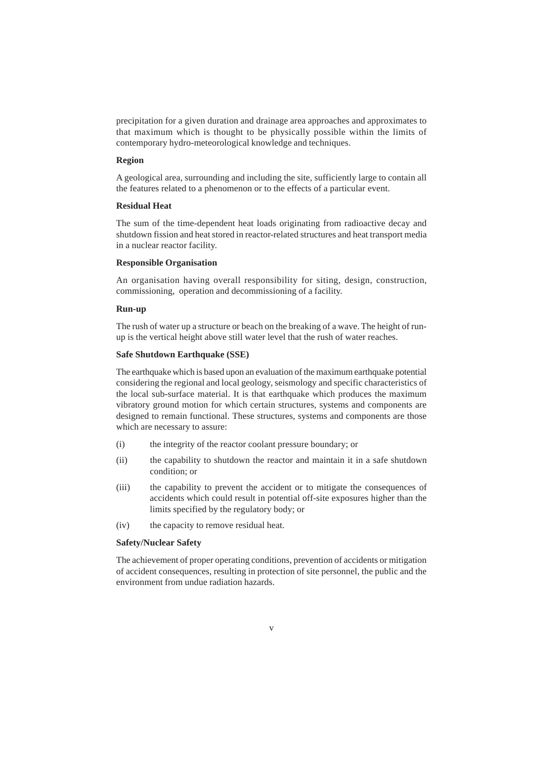precipitation for a given duration and drainage area approaches and approximates to that maximum which is thought to be physically possible within the limits of contemporary hydro-meteorological knowledge and techniques.

#### **Region**

A geological area, surrounding and including the site, sufficiently large to contain all the features related to a phenomenon or to the effects of a particular event.

#### **Residual Heat**

The sum of the time-dependent heat loads originating from radioactive decay and shutdown fission and heat stored in reactor-related structures and heat transport media in a nuclear reactor facility.

#### **Responsible Organisation**

An organisation having overall responsibility for siting, design, construction, commissioning, operation and decommissioning of a facility.

## **Run-up**

The rush of water up a structure or beach on the breaking of a wave. The height of runup is the vertical height above still water level that the rush of water reaches.

# **Safe Shutdown Earthquake (SSE)**

The earthquake which is based upon an evaluation of the maximum earthquake potential considering the regional and local geology, seismology and specific characteristics of the local sub-surface material. It is that earthquake which produces the maximum vibratory ground motion for which certain structures, systems and components are designed to remain functional. These structures, systems and components are those which are necessary to assure:

- (i) the integrity of the reactor coolant pressure boundary; or
- (ii) the capability to shutdown the reactor and maintain it in a safe shutdown condition; or
- (iii) the capability to prevent the accident or to mitigate the consequences of accidents which could result in potential off-site exposures higher than the limits specified by the regulatory body; or
- (iv) the capacity to remove residual heat.

#### **Safety/Nuclear Safety**

The achievement of proper operating conditions, prevention of accidents or mitigation of accident consequences, resulting in protection of site personnel, the public and the environment from undue radiation hazards.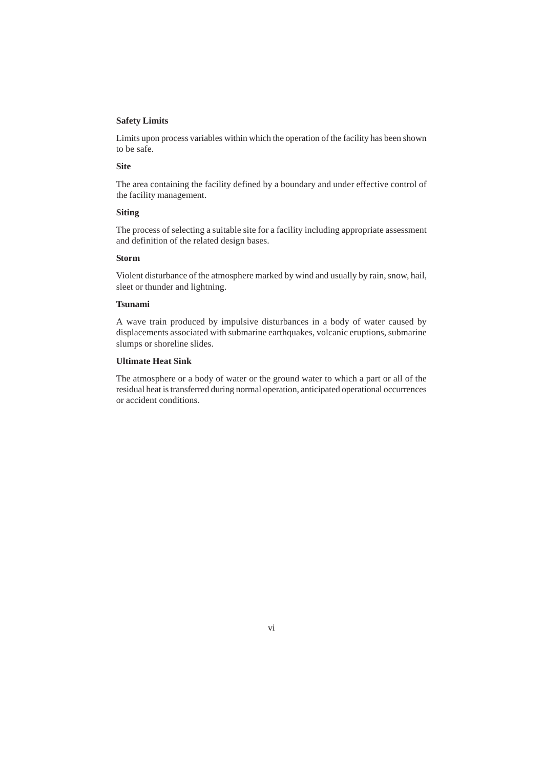#### **Safety Limits**

Limits upon process variables within which the operation of the facility has been shown to be safe.

# **Site**

The area containing the facility defined by a boundary and under effective control of the facility management.

#### **Siting**

The process of selecting a suitable site for a facility including appropriate assessment and definition of the related design bases.

#### **Storm**

Violent disturbance of the atmosphere marked by wind and usually by rain, snow, hail, sleet or thunder and lightning.

#### **Tsunami**

A wave train produced by impulsive disturbances in a body of water caused by displacements associated with submarine earthquakes, volcanic eruptions, submarine slumps or shoreline slides.

# **Ultimate Heat Sink**

The atmosphere or a body of water or the ground water to which a part or all of the residual heat is transferred during normal operation, anticipated operational occurrences or accident conditions.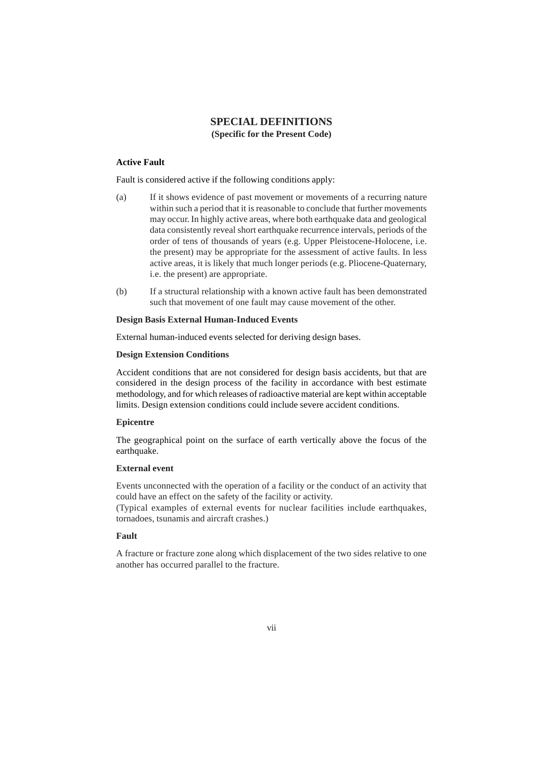# **SPECIAL DEFINITIONS (Specific for the Present Code)**

# **Active Fault**

Fault is considered active if the following conditions apply:

- (a) If it shows evidence of past movement or movements of a recurring nature within such a period that it is reasonable to conclude that further movements may occur. In highly active areas, where both earthquake data and geological data consistently reveal short earthquake recurrence intervals, periods of the order of tens of thousands of years (e.g. Upper Pleistocene-Holocene, i.e. the present) may be appropriate for the assessment of active faults. In less active areas, it is likely that much longer periods (e.g. Pliocene-Quaternary, i.e. the present) are appropriate.
- (b) If a structural relationship with a known active fault has been demonstrated such that movement of one fault may cause movement of the other.

#### **Design Basis External Human-Induced Events**

External human-induced events selected for deriving design bases.

## **Design Extension Conditions**

Accident conditions that are not considered for design basis accidents, but that are considered in the design process of the facility in accordance with best estimate methodology, and for which releases of radioactive material are kept within acceptable limits. Design extension conditions could include severe accident conditions.

#### **Epicentre**

The geographical point on the surface of earth vertically above the focus of the earthquake.

# **External event**

Events unconnected with the operation of a facility or the conduct of an activity that could have an effect on the safety of the facility or activity.

(Typical examples of external events for nuclear facilities include earthquakes, tornadoes, tsunamis and aircraft crashes.)

# **Fault**

A fracture or fracture zone along which displacement of the two sides relative to one another has occurred parallel to the fracture.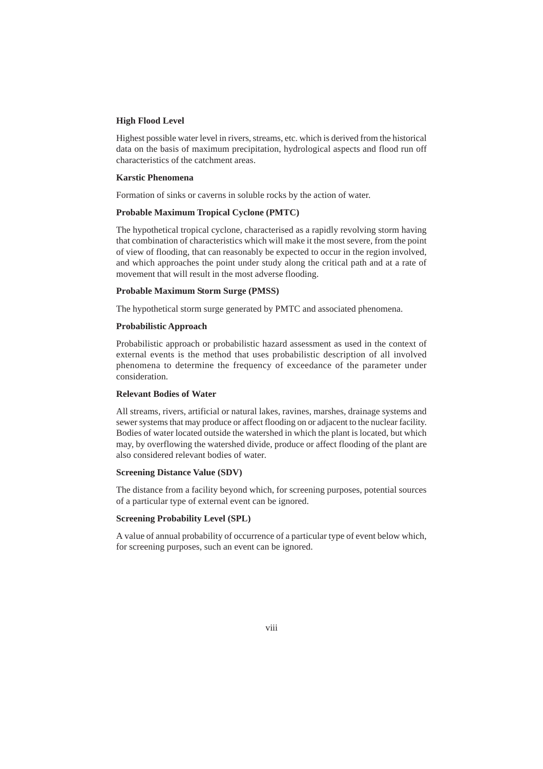#### **High Flood Level**

Highest possible water level in rivers, streams, etc. which is derived from the historical data on the basis of maximum precipitation, hydrological aspects and flood run off characteristics of the catchment areas.

## **Karstic Phenomena**

Formation of sinks or caverns in soluble rocks by the action of water.

#### **Probable Maximum Tropical Cyclone (PMTC)**

The hypothetical tropical cyclone, characterised as a rapidly revolving storm having that combination of characteristics which will make it the most severe, from the point of view of flooding, that can reasonably be expected to occur in the region involved, and which approaches the point under study along the critical path and at a rate of movement that will result in the most adverse flooding.

#### **Probable Maximum Storm Surge (PMSS)**

The hypothetical storm surge generated by PMTC and associated phenomena.

#### **Probabilistic Approach**

Probabilistic approach or probabilistic hazard assessment as used in the context of external events is the method that uses probabilistic description of all involved phenomena to determine the frequency of exceedance of the parameter under consideration.

#### **Relevant Bodies of Water**

All streams, rivers, artificial or natural lakes, ravines, marshes, drainage systems and sewer systems that may produce or affect flooding on or adjacent to the nuclear facility. Bodies of water located outside the watershed in which the plant is located, but which may, by overflowing the watershed divide, produce or affect flooding of the plant are also considered relevant bodies of water.

#### **Screening Distance Value (SDV)**

The distance from a facility beyond which, for screening purposes, potential sources of a particular type of external event can be ignored.

#### **Screening Probability Level (SPL)**

A value of annual probability of occurrence of a particular type of event below which, for screening purposes, such an event can be ignored.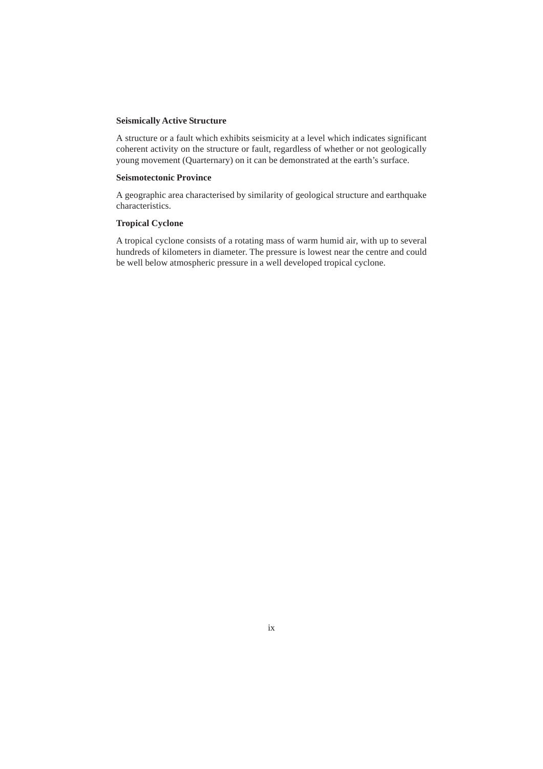#### **Seismically Active Structure**

A structure or a fault which exhibits seismicity at a level which indicates significant coherent activity on the structure or fault, regardless of whether or not geologically young movement (Quarternary) on it can be demonstrated at the earth's surface.

# **Seismotectonic Province**

A geographic area characterised by similarity of geological structure and earthquake characteristics.

#### **Tropical Cyclone**

A tropical cyclone consists of a rotating mass of warm humid air, with up to several hundreds of kilometers in diameter. The pressure is lowest near the centre and could be well below atmospheric pressure in a well developed tropical cyclone.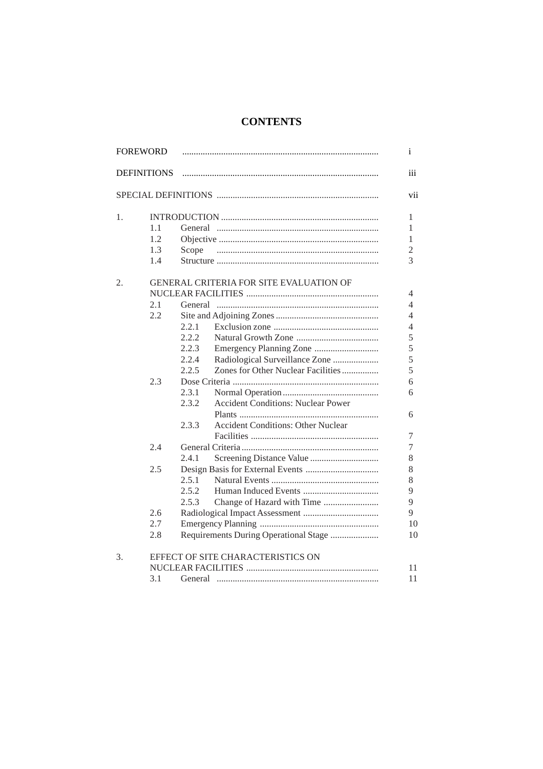# **CONTENTS**

| <b>FOREWORD</b> |                    |       |                                           | i   |
|-----------------|--------------------|-------|-------------------------------------------|-----|
|                 | <b>DEFINITIONS</b> |       |                                           | iii |
|                 |                    |       |                                           | vii |
| 1.              |                    |       |                                           | 1   |
|                 | 1.1                |       |                                           | 1   |
|                 | 1.2                |       |                                           | 1   |
|                 | 1.3                | Scope |                                           | 2   |
|                 | 1.4                |       |                                           | 3   |
| 2.              |                    |       | GENERAL CRITERIA FOR SITE EVALUATION OF   |     |
|                 |                    |       |                                           | 4   |
|                 | 2.1                |       |                                           | 4   |
|                 | 2.2                |       |                                           | 4   |
|                 |                    | 2.2.1 |                                           | 4   |
|                 |                    | 2.2.2 |                                           | 5   |
|                 |                    | 2.2.3 |                                           | 5   |
|                 |                    | 2.2.4 | Radiological Surveillance Zone            | 5   |
|                 |                    | 2.2.5 | Zones for Other Nuclear Facilities        | 5   |
|                 | 2.3                |       |                                           | 6   |
|                 |                    | 2.3.1 |                                           | 6   |
|                 |                    | 2.3.2 | <b>Accident Conditions: Nuclear Power</b> |     |
|                 |                    |       |                                           | 6   |
|                 |                    | 2.3.3 | <b>Accident Conditions: Other Nuclear</b> |     |
|                 |                    |       |                                           | 7   |
|                 | 2.4                |       |                                           | 7   |
|                 |                    | 2.4.1 |                                           | 8   |
|                 | 2.5                |       |                                           | 8   |
|                 |                    | 2.5.1 |                                           | 8   |
|                 |                    | 2.5.2 |                                           | 9   |
|                 |                    | 2.5.3 | Change of Hazard with Time                | 9   |
|                 | 2.6                |       |                                           | 9   |
|                 | 2.7                |       |                                           | 10  |
|                 | 2.8                |       | Requirements During Operational Stage     | 10  |
| 3.              |                    |       | EFFECT OF SITE CHARACTERISTICS ON         |     |
|                 |                    |       |                                           | 11  |
|                 | 3.1                |       |                                           | 11  |
|                 |                    |       |                                           |     |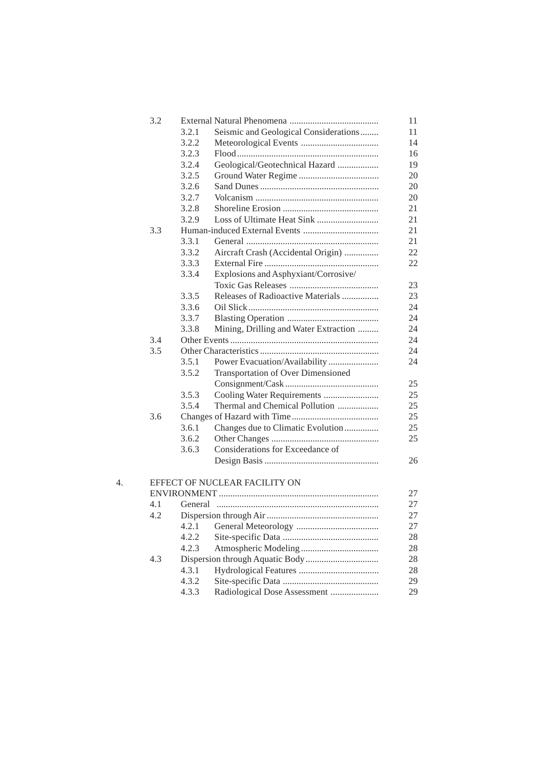|    | 3.2 |       |                                           | 11 |
|----|-----|-------|-------------------------------------------|----|
|    |     | 3.2.1 | Seismic and Geological Considerations     | 11 |
|    |     | 3.2.2 |                                           | 14 |
|    |     | 3.2.3 |                                           | 16 |
|    |     | 3.2.4 | Geological/Geotechnical Hazard            | 19 |
|    |     | 3.2.5 |                                           | 20 |
|    |     | 3.2.6 |                                           | 20 |
|    |     | 3.2.7 |                                           | 20 |
|    |     | 3.2.8 |                                           | 21 |
|    |     | 3.2.9 |                                           | 21 |
|    | 3.3 |       |                                           | 21 |
|    |     | 3.3.1 |                                           | 21 |
|    |     | 3.3.2 | Aircraft Crash (Accidental Origin)        | 22 |
|    |     | 3.3.3 |                                           | 22 |
|    |     | 3.3.4 | Explosions and Asphyxiant/Corrosive/      |    |
|    |     |       |                                           | 23 |
|    |     | 3.3.5 | Releases of Radioactive Materials         | 23 |
|    |     | 3.3.6 |                                           | 24 |
|    |     | 3.3.7 |                                           | 24 |
|    |     | 3.3.8 | Mining, Drilling and Water Extraction     | 24 |
|    | 3.4 |       |                                           | 24 |
|    | 3.5 |       |                                           | 24 |
|    |     | 3.5.1 | Power Evacuation/Availability             | 24 |
|    |     | 3.5.2 | <b>Transportation of Over Dimensioned</b> |    |
|    |     |       |                                           | 25 |
|    |     | 3.5.3 | Cooling Water Requirements                | 25 |
|    |     | 3.5.4 | Thermal and Chemical Pollution            | 25 |
|    | 3.6 |       |                                           | 25 |
|    |     | 3.6.1 | Changes due to Climatic Evolution         | 25 |
|    |     | 3.6.2 |                                           | 25 |
|    |     | 3.6.3 | Considerations for Exceedance of          |    |
|    |     |       |                                           | 26 |
|    |     |       |                                           |    |
| 4. |     |       | EFFECT OF NUCLEAR FACILITY ON             |    |
|    |     |       |                                           | 27 |
|    | 4.1 |       |                                           | 27 |
|    | 4.2 |       |                                           | 27 |
|    |     | 4.2.1 |                                           | 27 |
|    |     | 4.2.2 |                                           |    |
|    |     |       |                                           | 28 |
|    |     | 4.2.3 |                                           | 28 |
|    | 4.3 |       |                                           | 28 |
|    |     | 4.3.1 |                                           | 28 |
|    |     | 4.3.2 |                                           | 29 |
|    |     | 4.3.3 | Radiological Dose Assessment              | 29 |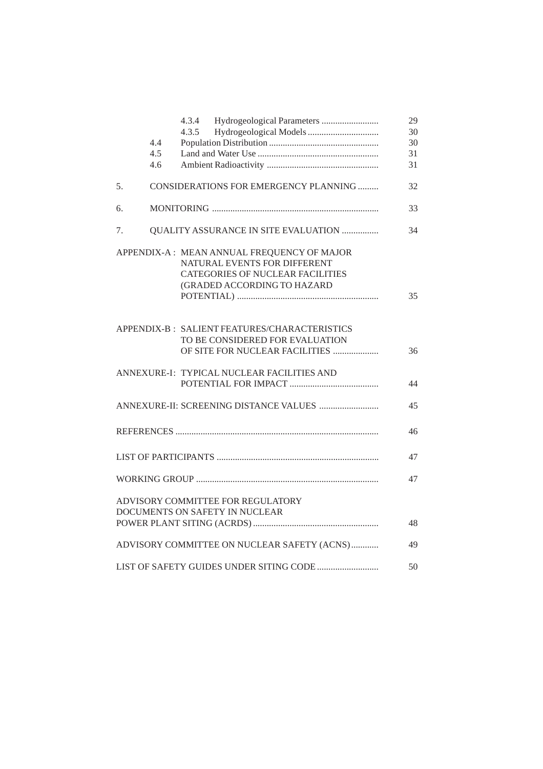|    |     | 4.3.4<br>4.3.5                                | 29<br>30 |
|----|-----|-----------------------------------------------|----------|
|    | 4.4 |                                               |          |
|    |     |                                               | 30       |
|    | 4.5 |                                               | 31       |
|    | 4.6 |                                               | 31       |
| 5. |     | CONSIDERATIONS FOR EMERGENCY PLANNING         | 32       |
| 6. |     |                                               | 33       |
| 7. |     | QUALITY ASSURANCE IN SITE EVALUATION          | 34       |
|    |     | APPENDIX-A: MEAN ANNUAL FREQUENCY OF MAJOR    |          |
|    |     | NATURAL EVENTS FOR DIFFERENT                  |          |
|    |     | <b>CATEGORIES OF NUCLEAR FACILITIES</b>       |          |
|    |     | (GRADED ACCORDING TO HAZARD                   |          |
|    |     |                                               | 35       |
|    |     |                                               |          |
|    |     | APPENDIX-B : SALIENT FEATURES/CHARACTERISTICS |          |
|    |     | TO BE CONSIDERED FOR EVALUATION               |          |
|    |     | OF SITE FOR NUCLEAR FACILITIES                | 36       |
|    |     |                                               |          |
|    |     | ANNEXURE-I: TYPICAL NUCLEAR FACILITIES AND    |          |
|    |     |                                               | 44       |
|    |     |                                               |          |
|    |     |                                               | 45       |
|    |     |                                               | 46       |
|    |     |                                               |          |
|    |     |                                               | 47       |
|    |     |                                               | 47       |
|    |     |                                               |          |
|    |     | ADVISORY COMMITTEE FOR REGULATORY             |          |
|    |     | DOCUMENTS ON SAFETY IN NUCLEAR                |          |
|    |     |                                               | 48       |
|    |     | ADVISORY COMMITTEE ON NUCLEAR SAFETY (ACNS)   | 49       |
|    |     |                                               | 50       |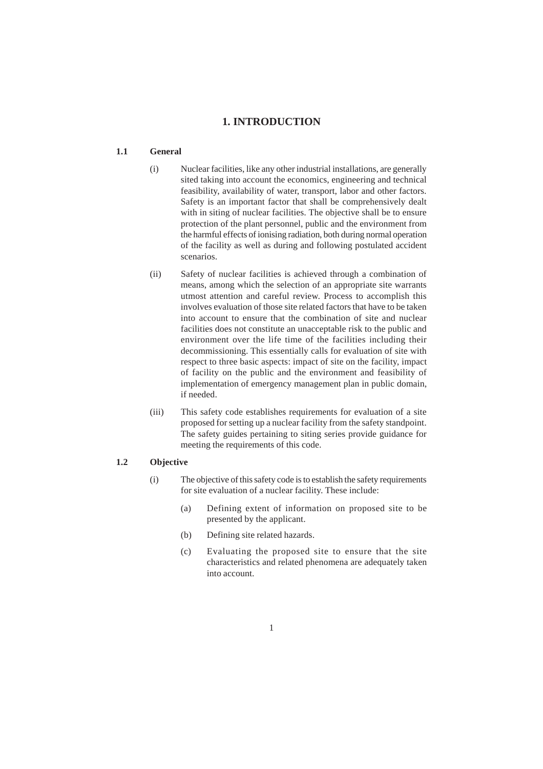# **1. INTRODUCTION**

# **1.1 General**

- (i) Nuclear facilities, like any other industrial installations, are generally sited taking into account the economics, engineering and technical feasibility, availability of water, transport, labor and other factors. Safety is an important factor that shall be comprehensively dealt with in siting of nuclear facilities. The objective shall be to ensure protection of the plant personnel, public and the environment from the harmful effects of ionising radiation, both during normal operation of the facility as well as during and following postulated accident scenarios.
- (ii) Safety of nuclear facilities is achieved through a combination of means, among which the selection of an appropriate site warrants utmost attention and careful review. Process to accomplish this involves evaluation of those site related factors that have to be taken into account to ensure that the combination of site and nuclear facilities does not constitute an unacceptable risk to the public and environment over the life time of the facilities including their decommissioning. This essentially calls for evaluation of site with respect to three basic aspects: impact of site on the facility, impact of facility on the public and the environment and feasibility of implementation of emergency management plan in public domain, if needed.
- (iii) This safety code establishes requirements for evaluation of a site proposed for setting up a nuclear facility from the safety standpoint. The safety guides pertaining to siting series provide guidance for meeting the requirements of this code.

# **1.2 Objective**

- (i) The objective of this safety code is to establish the safety requirements for site evaluation of a nuclear facility. These include:
	- (a) Defining extent of information on proposed site to be presented by the applicant.
	- (b) Defining site related hazards.
	- (c) Evaluating the proposed site to ensure that the site characteristics and related phenomena are adequately taken into account.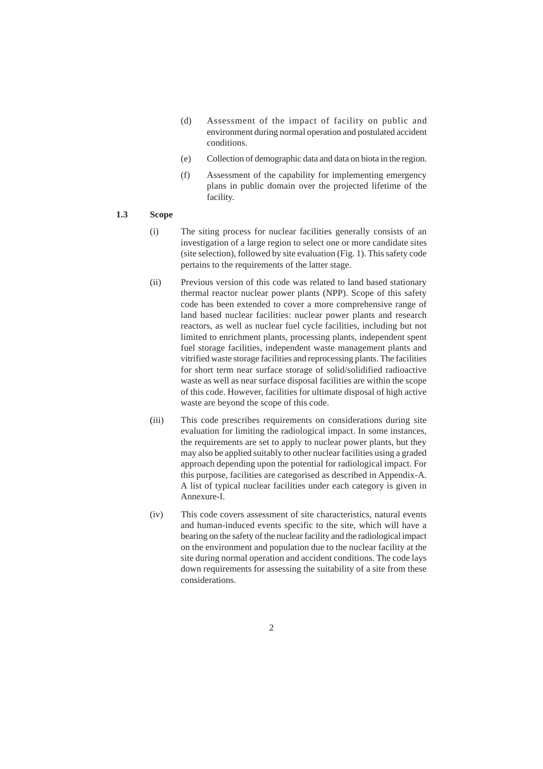- (d) Assessment of the impact of facility on public and environment during normal operation and postulated accident conditions.
- (e) Collection of demographic data and data on biota in the region.
- (f) Assessment of the capability for implementing emergency plans in public domain over the projected lifetime of the facility.

## **1.3 Scope**

- (i) The siting process for nuclear facilities generally consists of an investigation of a large region to select one or more candidate sites (site selection), followed by site evaluation (Fig. 1). This safety code pertains to the requirements of the latter stage.
- (ii) Previous version of this code was related to land based stationary thermal reactor nuclear power plants (NPP). Scope of this safety code has been extended to cover a more comprehensive range of land based nuclear facilities: nuclear power plants and research reactors, as well as nuclear fuel cycle facilities, including but not limited to enrichment plants, processing plants, independent spent fuel storage facilities, independent waste management plants and vitrified waste storage facilities and reprocessing plants. The facilities for short term near surface storage of solid/solidified radioactive waste as well as near surface disposal facilities are within the scope of this code. However, facilities for ultimate disposal of high active waste are beyond the scope of this code.
- (iii) This code prescribes requirements on considerations during site evaluation for limiting the radiological impact. In some instances, the requirements are set to apply to nuclear power plants, but they may also be applied suitably to other nuclear facilities using a graded approach depending upon the potential for radiological impact. For this purpose, facilities are categorised as described in Appendix-A. A list of typical nuclear facilities under each category is given in Annexure-I.
- (iv) This code covers assessment of site characteristics, natural events and human-induced events specific to the site, which will have a bearing on the safety of the nuclear facility and the radiological impact on the environment and population due to the nuclear facility at the site during normal operation and accident conditions. The code lays down requirements for assessing the suitability of a site from these considerations.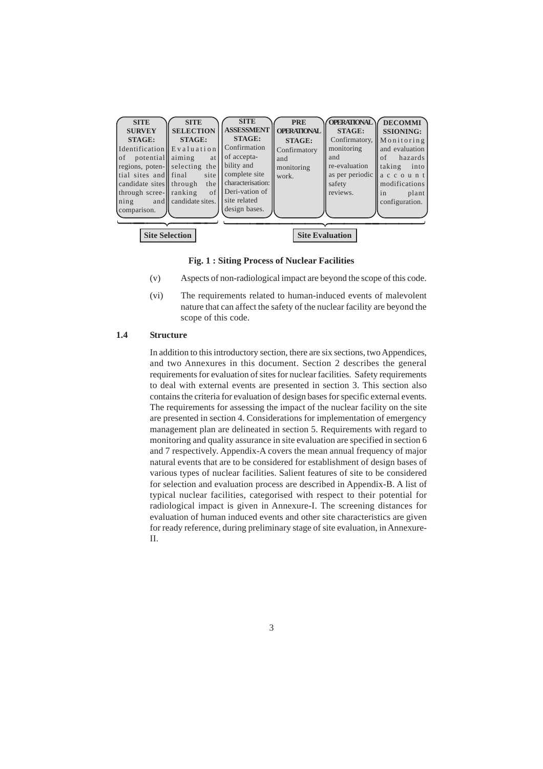| <b>SITE</b><br><b>SURVEY</b><br><b>STAGE:</b><br>Identification Evaluation<br> of<br>potential aiming<br>tial sites and final<br>candidate sites through<br>through scree-leranking<br>ning<br>comparison. | <b>SITE</b><br><b>SELECTION</b><br><b>STAGE:</b><br>at<br>regions, poten-selecting the<br>site<br>the<br>of<br>and candidate sites. | <b>SITE</b><br><b>ASSESSMENT</b><br><b>STAGE:</b><br>Confirmation<br>of accepta-<br>bility and<br>complete site<br>characterisation:<br>Deri-vation of<br>site related<br>design bases. | <b>PRE</b><br><b>OPERATIONAL</b><br><b>STAGE:</b><br>Confirmatory<br>and<br>monitoring<br>work. | <b>OPERATIONAL</b><br><b>STAGE:</b><br>Confirmatory,<br>monitoring<br>and<br>re-evaluation<br>safety<br>reviews. | <b>DECOMMI</b><br><b>SSIONING:</b><br>Monitoring<br>and evaluation<br>hazards<br>of<br>taking<br>into<br>as per periodic $\ $ a c c o u n t<br>modifications<br>plant<br>in<br>configuration. |
|------------------------------------------------------------------------------------------------------------------------------------------------------------------------------------------------------------|-------------------------------------------------------------------------------------------------------------------------------------|-----------------------------------------------------------------------------------------------------------------------------------------------------------------------------------------|-------------------------------------------------------------------------------------------------|------------------------------------------------------------------------------------------------------------------|-----------------------------------------------------------------------------------------------------------------------------------------------------------------------------------------------|
| <b>Site Evaluation</b><br><b>Site Selection</b>                                                                                                                                                            |                                                                                                                                     |                                                                                                                                                                                         |                                                                                                 |                                                                                                                  |                                                                                                                                                                                               |

**Fig. 1 : Siting Process of Nuclear Facilities**

- (v) Aspects of non-radiological impact are beyond the scope of this code.
- (vi) The requirements related to human-induced events of malevolent nature that can affect the safety of the nuclear facility are beyond the scope of this code.

# **1.4 Structure**

In addition to this introductory section, there are six sections, two Appendices, and two Annexures in this document. Section 2 describes the general requirements for evaluation of sites for nuclear facilities. Safety requirements to deal with external events are presented in section 3. This section also contains the criteria for evaluation of design bases for specific external events. The requirements for assessing the impact of the nuclear facility on the site are presented in section 4. Considerations for implementation of emergency management plan are delineated in section 5. Requirements with regard to monitoring and quality assurance in site evaluation are specified in section 6 and 7 respectively. Appendix-A covers the mean annual frequency of major natural events that are to be considered for establishment of design bases of various types of nuclear facilities. Salient features of site to be considered for selection and evaluation process are described in Appendix-B. A list of typical nuclear facilities, categorised with respect to their potential for radiological impact is given in Annexure-I. The screening distances for evaluation of human induced events and other site characteristics are given for ready reference, during preliminary stage of site evaluation, in Annexure-II.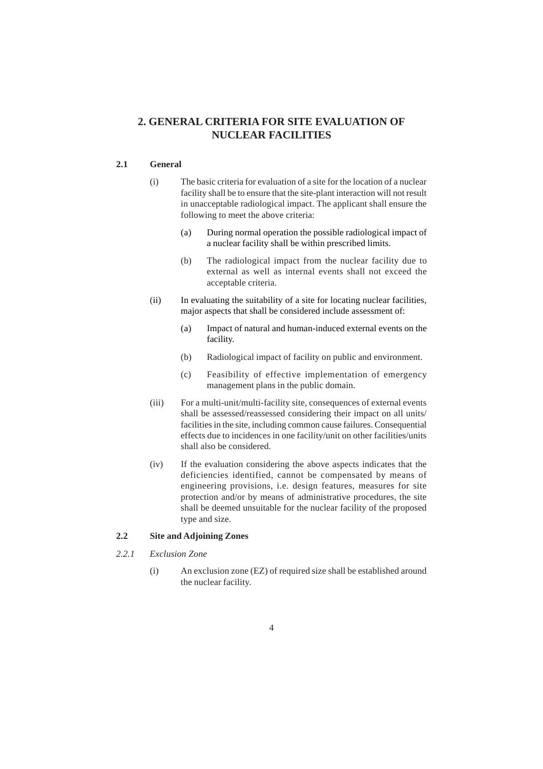# **2. GENERAL CRITERIA FOR SITE EVALUATION OF NUCLEAR FACILITIES**

# **2.1 General**

- (i) The basic criteria for evaluation of a site for the location of a nuclear facility shall be to ensure that the site-plant interaction will not result in unacceptable radiological impact. The applicant shall ensure the following to meet the above criteria:
	- (a) During normal operation the possible radiological impact of a nuclear facility shall be within prescribed limits.
	- (b) The radiological impact from the nuclear facility due to external as well as internal events shall not exceed the acceptable criteria.
- (ii) In evaluating the suitability of a site for locating nuclear facilities, major aspects that shall be considered include assessment of:
	- (a) Impact of natural and human-induced external events on the facility.
	- (b) Radiological impact of facility on public and environment.
	- (c) Feasibility of effective implementation of emergency management plans in the public domain.
- (iii) For a multi-unit/multi-facility site, consequences of external events shall be assessed/reassessed considering their impact on all units/ facilities in the site, including common cause failures. Consequential effects due to incidences in one facility/unit on other facilities/units shall also be considered.
- (iv) If the evaluation considering the above aspects indicates that the deficiencies identified, cannot be compensated by means of engineering provisions, i.e. design features, measures for site protection and/or by means of administrative procedures, the site shall be deemed unsuitable for the nuclear facility of the proposed type and size.

## **2.2 Site and Adjoining Zones**

- *2.2.1 Exclusion Zone*
	- (i) An exclusion zone (EZ) of required size shall be established around the nuclear facility.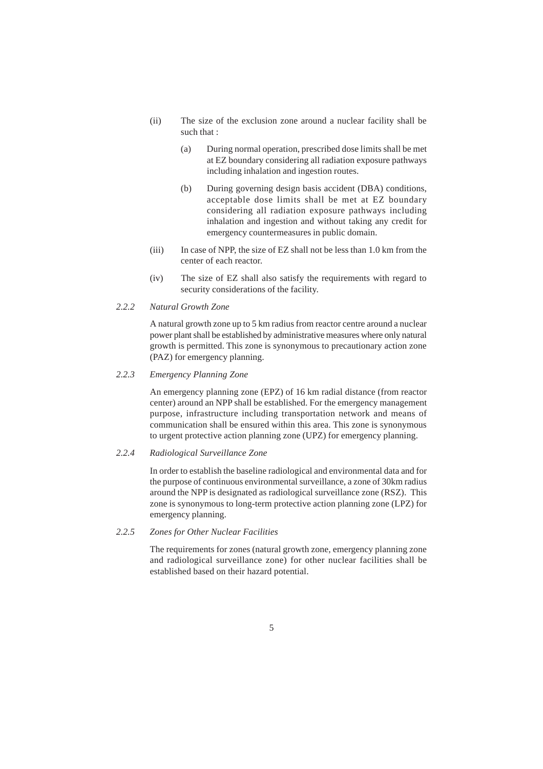- (ii) The size of the exclusion zone around a nuclear facility shall be such that :
	- (a) During normal operation, prescribed dose limits shall be met at EZ boundary considering all radiation exposure pathways including inhalation and ingestion routes.
	- (b) During governing design basis accident (DBA) conditions, acceptable dose limits shall be met at EZ boundary considering all radiation exposure pathways including inhalation and ingestion and without taking any credit for emergency countermeasures in public domain.
- (iii) In case of NPP, the size of EZ shall not be less than 1.0 km from the center of each reactor.
- (iv) The size of EZ shall also satisfy the requirements with regard to security considerations of the facility.

# *2.2.2 Natural Growth Zone*

A natural growth zone up to 5 km radius from reactor centre around a nuclear power plant shall be established by administrative measures where only natural growth is permitted. This zone is synonymous to precautionary action zone (PAZ) for emergency planning.

#### *2.2.3 Emergency Planning Zone*

An emergency planning zone (EPZ) of 16 km radial distance (from reactor center) around an NPP shall be established. For the emergency management purpose, infrastructure including transportation network and means of communication shall be ensured within this area. This zone is synonymous to urgent protective action planning zone (UPZ) for emergency planning.

#### *2.2.4 Radiological Surveillance Zone*

In order to establish the baseline radiological and environmental data and for the purpose of continuous environmental surveillance, a zone of 30km radius around the NPP is designated as radiological surveillance zone (RSZ). This zone is synonymous to long-term protective action planning zone (LPZ) for emergency planning.

## *2.2.5 Zones for Other Nuclear Facilities*

The requirements for zones (natural growth zone, emergency planning zone and radiological surveillance zone) for other nuclear facilities shall be established based on their hazard potential.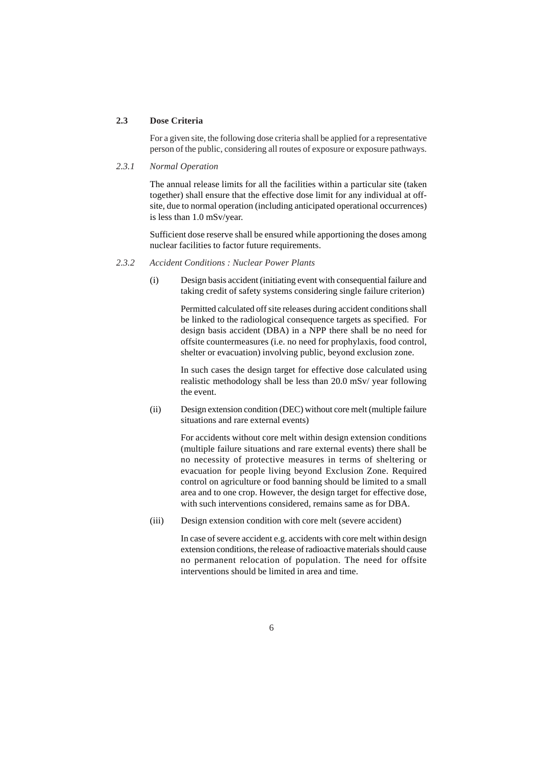## **2.3 Dose Criteria**

For a given site, the following dose criteria shall be applied for a representative person of the public, considering all routes of exposure or exposure pathways.

# *2.3.1 Normal Operation*

The annual release limits for all the facilities within a particular site (taken together) shall ensure that the effective dose limit for any individual at offsite, due to normal operation (including anticipated operational occurrences) is less than 1.0 mSv/year.

Sufficient dose reserve shall be ensured while apportioning the doses among nuclear facilities to factor future requirements.

#### *2.3.2 Accident Conditions : Nuclear Power Plants*

(i) Design basis accident (initiating event with consequential failure and taking credit of safety systems considering single failure criterion)

> Permitted calculated off site releases during accident conditions shall be linked to the radiological consequence targets as specified. For design basis accident (DBA) in a NPP there shall be no need for offsite countermeasures (i.e. no need for prophylaxis, food control, shelter or evacuation) involving public, beyond exclusion zone.

> In such cases the design target for effective dose calculated using realistic methodology shall be less than 20.0 mSv/ year following the event.

(ii) Design extension condition (DEC) without core melt (multiple failure situations and rare external events)

> For accidents without core melt within design extension conditions (multiple failure situations and rare external events) there shall be no necessity of protective measures in terms of sheltering or evacuation for people living beyond Exclusion Zone. Required control on agriculture or food banning should be limited to a small area and to one crop. However, the design target for effective dose, with such interventions considered, remains same as for DBA.

(iii) Design extension condition with core melt (severe accident)

In case of severe accident e.g. accidents with core melt within design extension conditions, the release of radioactive materials should cause no permanent relocation of population. The need for offsite interventions should be limited in area and time.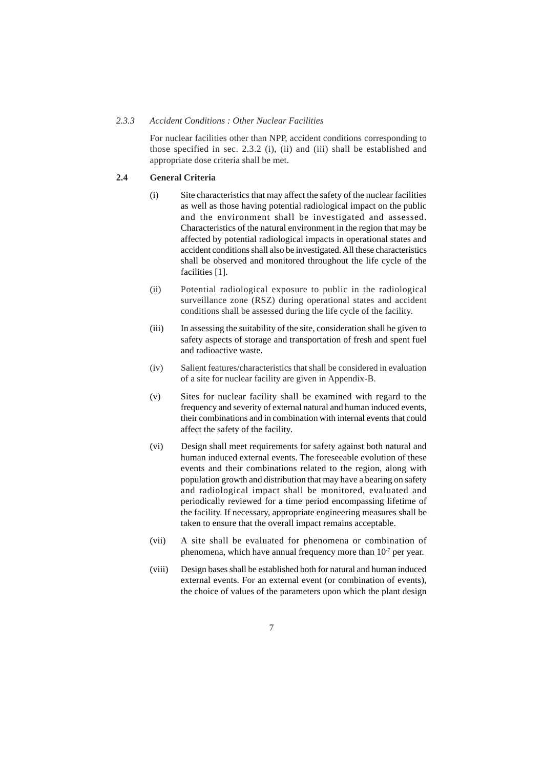#### *2.3.3 Accident Conditions : Other Nuclear Facilities*

For nuclear facilities other than NPP, accident conditions corresponding to those specified in sec. 2.3.2 (i), (ii) and (iii) shall be established and appropriate dose criteria shall be met.

## **2.4 General Criteria**

- (i) Site characteristics that may affect the safety of the nuclear facilities as well as those having potential radiological impact on the public and the environment shall be investigated and assessed. Characteristics of the natural environment in the region that may be affected by potential radiological impacts in operational states and accident conditions shall also be investigated. All these characteristics shall be observed and monitored throughout the life cycle of the facilities [1].
- (ii) Potential radiological exposure to public in the radiological surveillance zone (RSZ) during operational states and accident conditions shall be assessed during the life cycle of the facility.
- (iii) In assessing the suitability of the site, consideration shall be given to safety aspects of storage and transportation of fresh and spent fuel and radioactive waste.
- (iv) Salient features/characteristics that shall be considered in evaluation of a site for nuclear facility are given in Appendix-B.
- (v) Sites for nuclear facility shall be examined with regard to the frequency and severity of external natural and human induced events, their combinations and in combination with internal events that could affect the safety of the facility.
- (vi) Design shall meet requirements for safety against both natural and human induced external events. The foreseeable evolution of these events and their combinations related to the region, along with population growth and distribution that may have a bearing on safety and radiological impact shall be monitored, evaluated and periodically reviewed for a time period encompassing lifetime of the facility. If necessary, appropriate engineering measures shall be taken to ensure that the overall impact remains acceptable.
- (vii) A site shall be evaluated for phenomena or combination of phenomena, which have annual frequency more than  $10<sup>7</sup>$  per year.
- (viii) Design bases shall be established both for natural and human induced external events. For an external event (or combination of events), the choice of values of the parameters upon which the plant design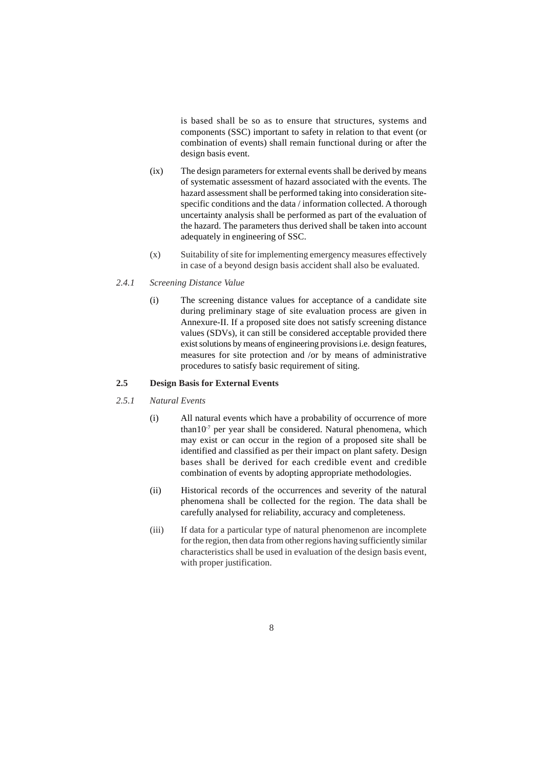is based shall be so as to ensure that structures, systems and components (SSC) important to safety in relation to that event (or combination of events) shall remain functional during or after the design basis event.

- (ix) The design parameters for external events shall be derived by means of systematic assessment of hazard associated with the events. The hazard assessment shall be performed taking into consideration sitespecific conditions and the data / information collected. A thorough uncertainty analysis shall be performed as part of the evaluation of the hazard. The parameters thus derived shall be taken into account adequately in engineering of SSC.
- (x) Suitability of site for implementing emergency measures effectively in case of a beyond design basis accident shall also be evaluated.

#### *2.4.1 Screening Distance Value*

(i) The screening distance values for acceptance of a candidate site during preliminary stage of site evaluation process are given in Annexure-II. If a proposed site does not satisfy screening distance values (SDVs), it can still be considered acceptable provided there exist solutions by means of engineering provisions i.e. design features, measures for site protection and /or by means of administrative procedures to satisfy basic requirement of siting.

# **2.5 Design Basis for External Events**

#### *2.5.1 Natural Events*

- (i) All natural events which have a probability of occurrence of more than10 $^7$  per year shall be considered. Natural phenomena, which may exist or can occur in the region of a proposed site shall be identified and classified as per their impact on plant safety. Design bases shall be derived for each credible event and credible combination of events by adopting appropriate methodologies.
- (ii) Historical records of the occurrences and severity of the natural phenomena shall be collected for the region. The data shall be carefully analysed for reliability, accuracy and completeness.
- (iii) If data for a particular type of natural phenomenon are incomplete for the region, then data from other regions having sufficiently similar characteristics shall be used in evaluation of the design basis event, with proper justification.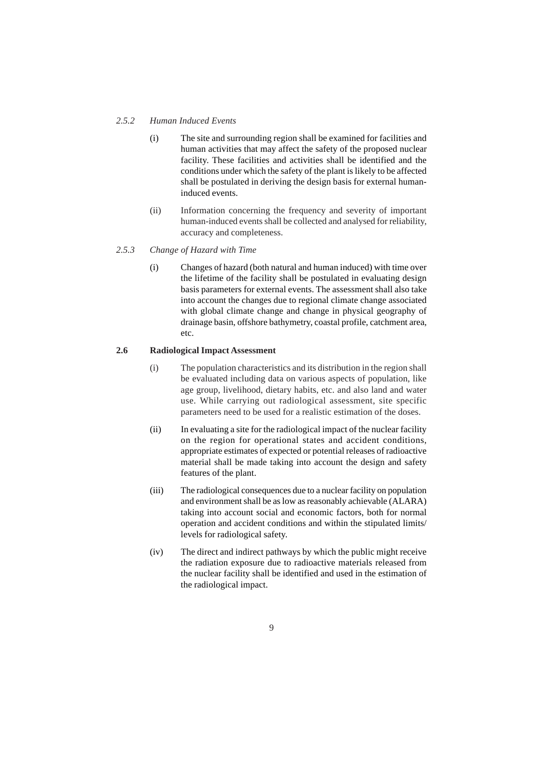#### *2.5.2 Human Induced Events*

- (i) The site and surrounding region shall be examined for facilities and human activities that may affect the safety of the proposed nuclear facility. These facilities and activities shall be identified and the conditions under which the safety of the plant is likely to be affected shall be postulated in deriving the design basis for external humaninduced events.
- (ii) Information concerning the frequency and severity of important human-induced events shall be collected and analysed for reliability, accuracy and completeness.

# *2.5.3 Change of Hazard with Time*

(i) Changes of hazard (both natural and human induced) with time over the lifetime of the facility shall be postulated in evaluating design basis parameters for external events. The assessment shall also take into account the changes due to regional climate change associated with global climate change and change in physical geography of drainage basin, offshore bathymetry, coastal profile, catchment area, etc.

#### **2.6 Radiological Impact Assessment**

- (i) The population characteristics and its distribution in the region shall be evaluated including data on various aspects of population, like age group, livelihood, dietary habits, etc. and also land and water use. While carrying out radiological assessment, site specific parameters need to be used for a realistic estimation of the doses.
- (ii) In evaluating a site for the radiological impact of the nuclear facility on the region for operational states and accident conditions, appropriate estimates of expected or potential releases of radioactive material shall be made taking into account the design and safety features of the plant.
- (iii) The radiological consequences due to a nuclear facility on population and environment shall be as low as reasonably achievable (ALARA) taking into account social and economic factors, both for normal operation and accident conditions and within the stipulated limits/ levels for radiological safety.
- (iv) The direct and indirect pathways by which the public might receive the radiation exposure due to radioactive materials released from the nuclear facility shall be identified and used in the estimation of the radiological impact.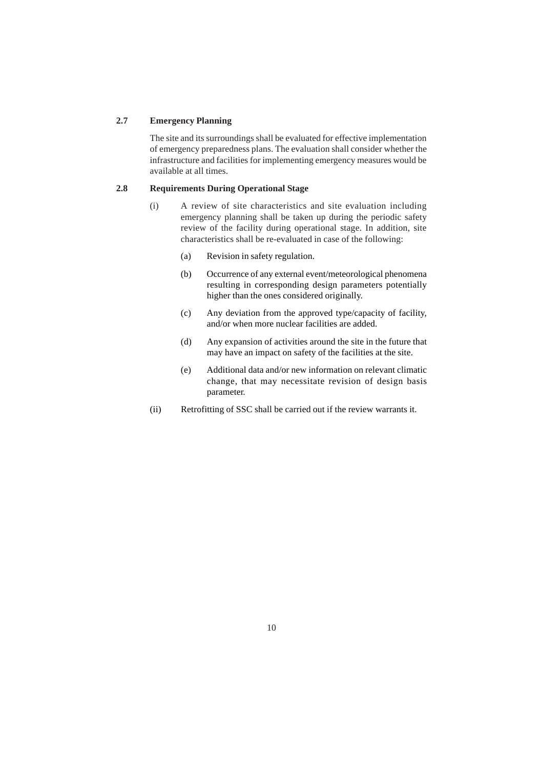#### **2.7 Emergency Planning**

The site and its surroundings shall be evaluated for effective implementation of emergency preparedness plans. The evaluation shall consider whether the infrastructure and facilities for implementing emergency measures would be available at all times.

# **2.8 Requirements During Operational Stage**

- (i) A review of site characteristics and site evaluation including emergency planning shall be taken up during the periodic safety review of the facility during operational stage. In addition, site characteristics shall be re-evaluated in case of the following:
	- (a) Revision in safety regulation.
	- (b) Occurrence of any external event/meteorological phenomena resulting in corresponding design parameters potentially higher than the ones considered originally.
	- (c) Any deviation from the approved type/capacity of facility, and/or when more nuclear facilities are added.
	- (d) Any expansion of activities around the site in the future that may have an impact on safety of the facilities at the site.
	- (e) Additional data and/or new information on relevant climatic change, that may necessitate revision of design basis parameter.
- (ii) Retrofitting of SSC shall be carried out if the review warrants it.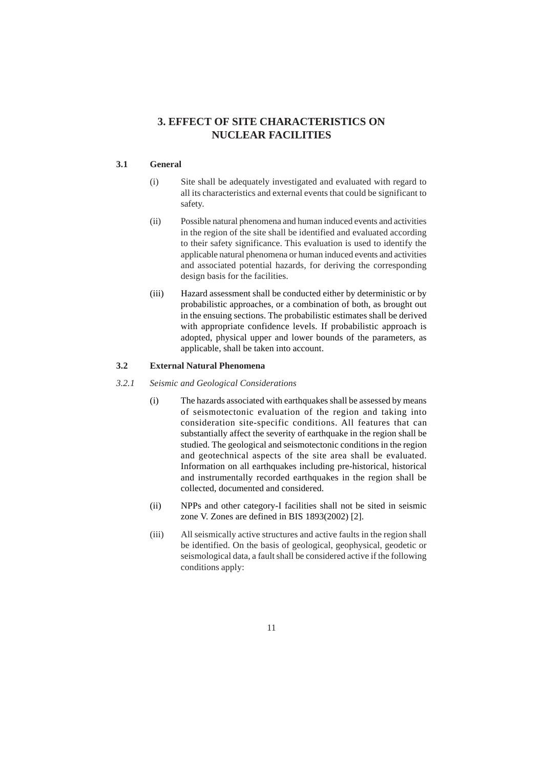# **3. EFFECT OF SITE CHARACTERISTICS ON NUCLEAR FACILITIES**

# **3.1 General**

- (i) Site shall be adequately investigated and evaluated with regard to all its characteristics and external events that could be significant to safety.
- (ii) Possible natural phenomena and human induced events and activities in the region of the site shall be identified and evaluated according to their safety significance. This evaluation is used to identify the applicable natural phenomena or human induced events and activities and associated potential hazards, for deriving the corresponding design basis for the facilities.
- (iii) Hazard assessment shall be conducted either by deterministic or by probabilistic approaches, or a combination of both, as brought out in the ensuing sections. The probabilistic estimates shall be derived with appropriate confidence levels. If probabilistic approach is adopted, physical upper and lower bounds of the parameters, as applicable, shall be taken into account.

## **3.2 External Natural Phenomena**

- *3.2.1 Seismic and Geological Considerations*
	- (i) The hazards associated with earthquakes shall be assessed by means of seismotectonic evaluation of the region and taking into consideration site-specific conditions. All features that can substantially affect the severity of earthquake in the region shall be studied. The geological and seismotectonic conditions in the region and geotechnical aspects of the site area shall be evaluated. Information on all earthquakes including pre-historical, historical and instrumentally recorded earthquakes in the region shall be collected, documented and considered.
	- (ii) NPPs and other category-I facilities shall not be sited in seismic zone V. Zones are defined in BIS 1893(2002) [2].
	- (iii) All seismically active structures and active faults in the region shall be identified. On the basis of geological, geophysical, geodetic or seismological data, a fault shall be considered active if the following conditions apply: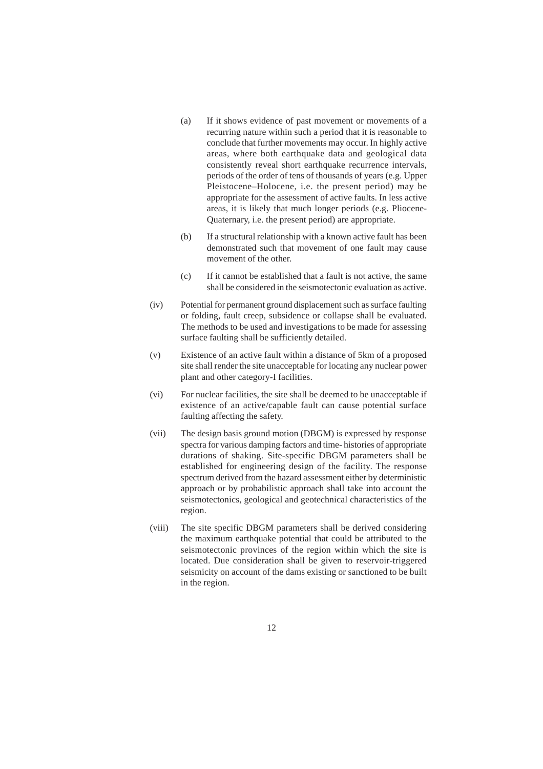- (a) If it shows evidence of past movement or movements of a recurring nature within such a period that it is reasonable to conclude that further movements may occur. In highly active areas, where both earthquake data and geological data consistently reveal short earthquake recurrence intervals, periods of the order of tens of thousands of years (e.g. Upper Pleistocene–Holocene, i.e. the present period) may be appropriate for the assessment of active faults. In less active areas, it is likely that much longer periods (e.g. Pliocene-Quaternary, i.e. the present period) are appropriate.
- (b) If a structural relationship with a known active fault has been demonstrated such that movement of one fault may cause movement of the other.
- (c) If it cannot be established that a fault is not active, the same shall be considered in the seismotectonic evaluation as active.
- (iv) Potential for permanent ground displacement such as surface faulting or folding, fault creep, subsidence or collapse shall be evaluated. The methods to be used and investigations to be made for assessing surface faulting shall be sufficiently detailed.
- (v) Existence of an active fault within a distance of 5km of a proposed site shall render the site unacceptable for locating any nuclear power plant and other category-I facilities.
- (vi) For nuclear facilities, the site shall be deemed to be unacceptable if existence of an active/capable fault can cause potential surface faulting affecting the safety.
- (vii) The design basis ground motion (DBGM) is expressed by response spectra for various damping factors and time- histories of appropriate durations of shaking. Site-specific DBGM parameters shall be established for engineering design of the facility. The response spectrum derived from the hazard assessment either by deterministic approach or by probabilistic approach shall take into account the seismotectonics, geological and geotechnical characteristics of the region.
- (viii) The site specific DBGM parameters shall be derived considering the maximum earthquake potential that could be attributed to the seismotectonic provinces of the region within which the site is located. Due consideration shall be given to reservoir-triggered seismicity on account of the dams existing or sanctioned to be built in the region.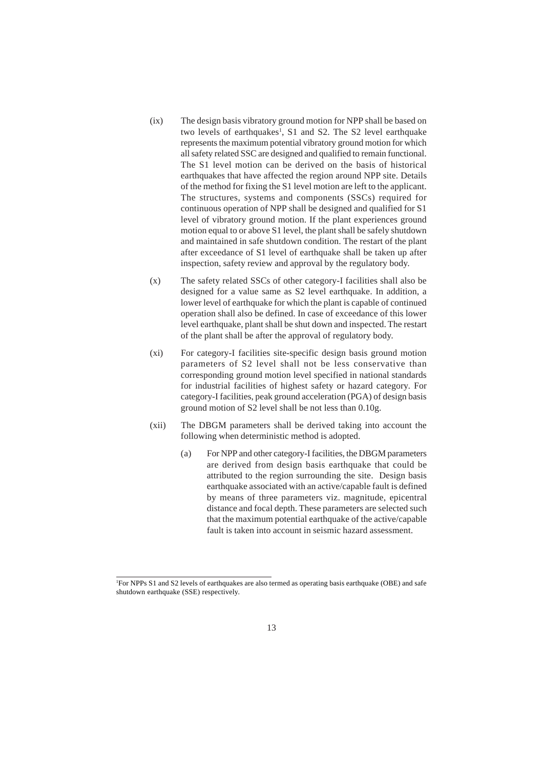- (ix) The design basis vibratory ground motion for NPP shall be based on two levels of earthquakes<sup>1</sup>, S1 and S2. The S2 level earthquake represents the maximum potential vibratory ground motion for which all safety related SSC are designed and qualified to remain functional. The S1 level motion can be derived on the basis of historical earthquakes that have affected the region around NPP site. Details of the method for fixing the S1 level motion are left to the applicant. The structures, systems and components (SSCs) required for continuous operation of NPP shall be designed and qualified for S1 level of vibratory ground motion. If the plant experiences ground motion equal to or above S1 level, the plant shall be safely shutdown and maintained in safe shutdown condition. The restart of the plant after exceedance of S1 level of earthquake shall be taken up after inspection, safety review and approval by the regulatory body.
- (x) The safety related SSCs of other category-I facilities shall also be designed for a value same as S2 level earthquake. In addition, a lower level of earthquake for which the plant is capable of continued operation shall also be defined. In case of exceedance of this lower level earthquake, plant shall be shut down and inspected. The restart of the plant shall be after the approval of regulatory body.
- (xi) For category-I facilities site-specific design basis ground motion parameters of S2 level shall not be less conservative than corresponding ground motion level specified in national standards for industrial facilities of highest safety or hazard category. For category-I facilities, peak ground acceleration (PGA) of design basis ground motion of S2 level shall be not less than 0.10g.
- (xii) The DBGM parameters shall be derived taking into account the following when deterministic method is adopted.
	- (a) For NPP and other category-I facilities, the DBGM parameters are derived from design basis earthquake that could be attributed to the region surrounding the site. Design basis earthquake associated with an active/capable fault is defined by means of three parameters viz. magnitude, epicentral distance and focal depth. These parameters are selected such that the maximum potential earthquake of the active/capable fault is taken into account in seismic hazard assessment.

<sup>1</sup> For NPPs S1 and S2 levels of earthquakes are also termed as operating basis earthquake (OBE) and safe shutdown earthquake (SSE) respectively.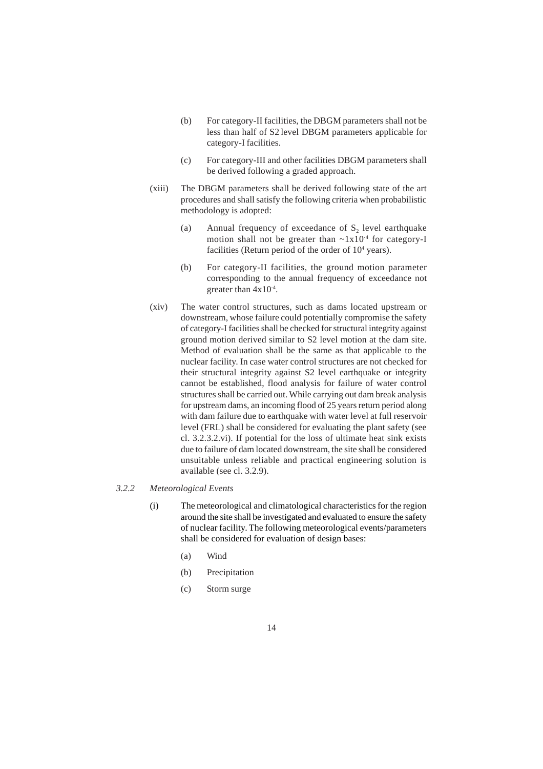- (b) For category-II facilities, the DBGM parameters shall not be less than half of S2 level DBGM parameters applicable for category-I facilities.
- (c) For category-III and other facilities DBGM parameters shall be derived following a graded approach.
- (xiii) The DBGM parameters shall be derived following state of the art procedures and shall satisfy the following criteria when probabilistic methodology is adopted:
	- (a) Annual frequency of exceedance of  $S_2$  level earthquake motion shall not be greater than  $\sim 1x10^{-4}$  for category-I facilities (Return period of the order of  $10<sup>4</sup>$  years).
	- (b) For category-II facilities, the ground motion parameter corresponding to the annual frequency of exceedance not greater than 4x10-4.
- (xiv) The water control structures, such as dams located upstream or downstream, whose failure could potentially compromise the safety of category-I facilities shall be checked for structural integrity against ground motion derived similar to S2 level motion at the dam site. Method of evaluation shall be the same as that applicable to the nuclear facility. In case water control structures are not checked for their structural integrity against S2 level earthquake or integrity cannot be established, flood analysis for failure of water control structures shall be carried out. While carrying out dam break analysis for upstream dams, an incoming flood of 25 years return period along with dam failure due to earthquake with water level at full reservoir level (FRL) shall be considered for evaluating the plant safety (see cl. 3.2.3.2.vi). If potential for the loss of ultimate heat sink exists due to failure of dam located downstream, the site shall be considered unsuitable unless reliable and practical engineering solution is available (see cl. 3.2.9).

## *3.2.2 Meteorological Events*

- (i) The meteorological and climatological characteristics for the region around the site shall be investigated and evaluated to ensure the safety of nuclear facility. The following meteorological events/parameters shall be considered for evaluation of design bases:
	- (a) Wind
	- (b) Precipitation
	- (c) Storm surge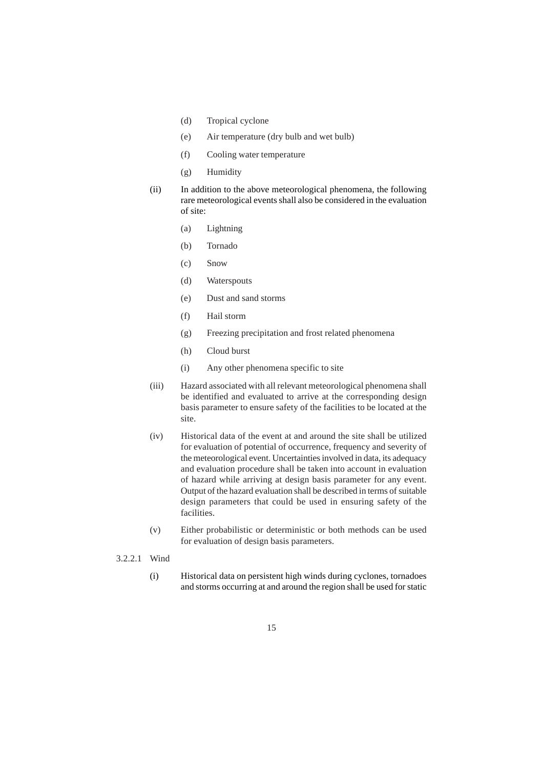- (d) Tropical cyclone
- (e) Air temperature (dry bulb and wet bulb)
- (f) Cooling water temperature
- (g) Humidity
- (ii) In addition to the above meteorological phenomena, the following rare meteorological events shall also be considered in the evaluation of site:
	- (a) Lightning
	- (b) Tornado
	- (c) Snow
	- (d) Waterspouts
	- (e) Dust and sand storms
	- (f) Hail storm
	- (g) Freezing precipitation and frost related phenomena
	- (h) Cloud burst
	- (i) Any other phenomena specific to site
- (iii) Hazard associated with all relevant meteorological phenomena shall be identified and evaluated to arrive at the corresponding design basis parameter to ensure safety of the facilities to be located at the site.
- (iv) Historical data of the event at and around the site shall be utilized for evaluation of potential of occurrence, frequency and severity of the meteorological event. Uncertainties involved in data, its adequacy and evaluation procedure shall be taken into account in evaluation of hazard while arriving at design basis parameter for any event. Output of the hazard evaluation shall be described in terms of suitable design parameters that could be used in ensuring safety of the facilities.
- (v) Either probabilistic or deterministic or both methods can be used for evaluation of design basis parameters.
- 3.2.2.1 Wind
	- (i) Historical data on persistent high winds during cyclones, tornadoes and storms occurring at and around the region shall be used for static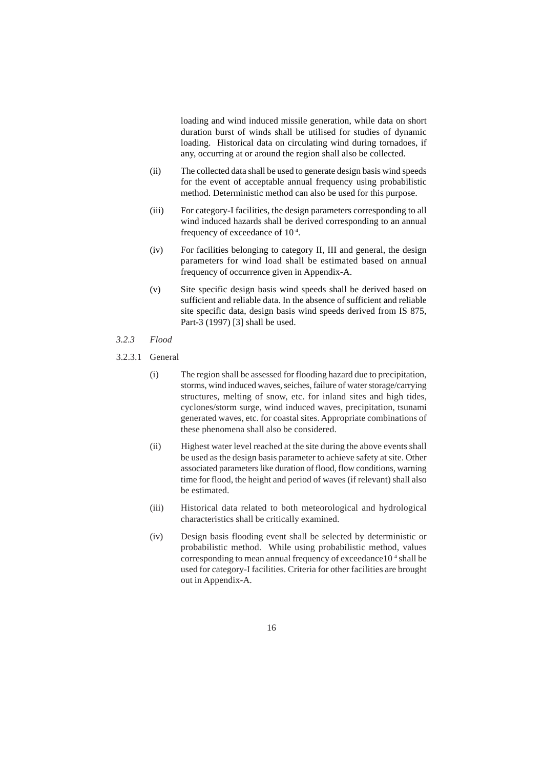loading and wind induced missile generation, while data on short duration burst of winds shall be utilised for studies of dynamic loading. Historical data on circulating wind during tornadoes, if any, occurring at or around the region shall also be collected.

- (ii) The collected data shall be used to generate design basis wind speeds for the event of acceptable annual frequency using probabilistic method. Deterministic method can also be used for this purpose.
- (iii) For category-I facilities, the design parameters corresponding to all wind induced hazards shall be derived corresponding to an annual frequency of exceedance of 10-4.
- (iv) For facilities belonging to category II, III and general, the design parameters for wind load shall be estimated based on annual frequency of occurrence given in Appendix-A.
- (v) Site specific design basis wind speeds shall be derived based on sufficient and reliable data. In the absence of sufficient and reliable site specific data, design basis wind speeds derived from IS 875, Part-3 (1997) [3] shall be used.
- *3.2.3 Flood*
- 3.2.3.1 General
	- (i) The region shall be assessed for flooding hazard due to precipitation, storms, wind induced waves, seiches, failure of water storage/carrying structures, melting of snow, etc. for inland sites and high tides, cyclones/storm surge, wind induced waves, precipitation, tsunami generated waves, etc. for coastal sites. Appropriate combinations of these phenomena shall also be considered.
	- (ii) Highest water level reached at the site during the above events shall be used as the design basis parameter to achieve safety at site. Other associated parameters like duration of flood, flow conditions, warning time for flood, the height and period of waves (if relevant) shall also be estimated.
	- (iii) Historical data related to both meteorological and hydrological characteristics shall be critically examined.
	- (iv) Design basis flooding event shall be selected by deterministic or probabilistic method. While using probabilistic method, values corresponding to mean annual frequency of exceedance10-4 shall be used for category-I facilities. Criteria for other facilities are brought out in Appendix-A.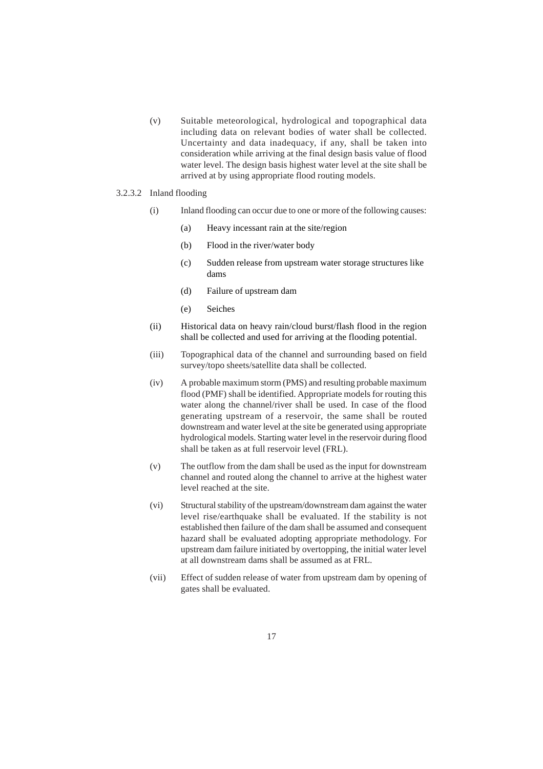(v) Suitable meteorological, hydrological and topographical data including data on relevant bodies of water shall be collected. Uncertainty and data inadequacy, if any, shall be taken into consideration while arriving at the final design basis value of flood water level. The design basis highest water level at the site shall be arrived at by using appropriate flood routing models.

#### 3.2.3.2 Inland flooding

- (i) Inland flooding can occur due to one or more of the following causes:
	- (a) Heavy incessant rain at the site/region
	- (b) Flood in the river/water body
	- (c) Sudden release from upstream water storage structures like dams
	- (d) Failure of upstream dam
	- (e) Seiches
- (ii) Historical data on heavy rain/cloud burst/flash flood in the region shall be collected and used for arriving at the flooding potential.
- (iii) Topographical data of the channel and surrounding based on field survey/topo sheets/satellite data shall be collected.
- (iv) A probable maximum storm (PMS) and resulting probable maximum flood (PMF) shall be identified. Appropriate models for routing this water along the channel/river shall be used. In case of the flood generating upstream of a reservoir, the same shall be routed downstream and water level at the site be generated using appropriate hydrological models. Starting water level in the reservoir during flood shall be taken as at full reservoir level (FRL).
- (v) The outflow from the dam shall be used as the input for downstream channel and routed along the channel to arrive at the highest water level reached at the site.
- (vi) Structural stability of the upstream/downstream dam against the water level rise/earthquake shall be evaluated. If the stability is not established then failure of the dam shall be assumed and consequent hazard shall be evaluated adopting appropriate methodology. For upstream dam failure initiated by overtopping, the initial water level at all downstream dams shall be assumed as at FRL.
- (vii) Effect of sudden release of water from upstream dam by opening of gates shall be evaluated.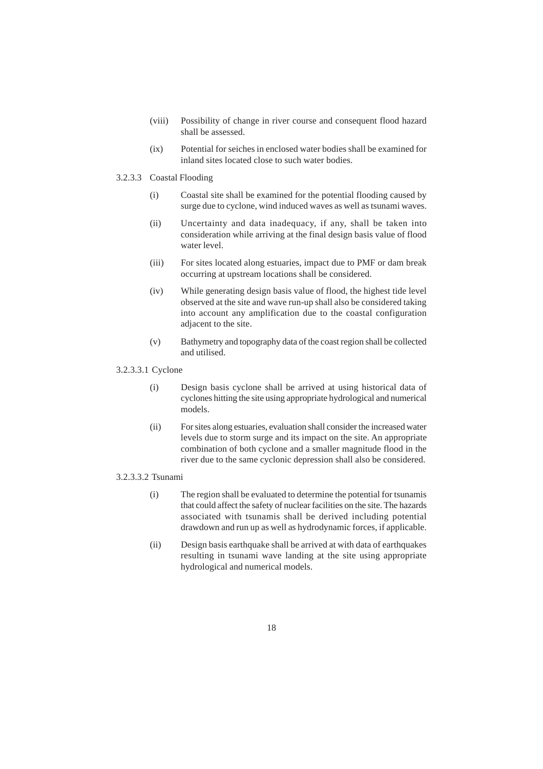- (viii) Possibility of change in river course and consequent flood hazard shall be assessed.
- (ix) Potential for seiches in enclosed water bodies shall be examined for inland sites located close to such water bodies.
- 3.2.3.3 Coastal Flooding
	- (i) Coastal site shall be examined for the potential flooding caused by surge due to cyclone, wind induced waves as well as tsunami waves.
	- (ii) Uncertainty and data inadequacy, if any, shall be taken into consideration while arriving at the final design basis value of flood water level.
	- (iii) For sites located along estuaries, impact due to PMF or dam break occurring at upstream locations shall be considered.
	- (iv) While generating design basis value of flood, the highest tide level observed at the site and wave run-up shall also be considered taking into account any amplification due to the coastal configuration adjacent to the site.
	- (v) Bathymetry and topography data of the coast region shall be collected and utilised.

# 3.2.3.3.1 Cyclone

- (i) Design basis cyclone shall be arrived at using historical data of cyclones hitting the site using appropriate hydrological and numerical models.
- (ii) For sites along estuaries, evaluation shall consider the increased water levels due to storm surge and its impact on the site. An appropriate combination of both cyclone and a smaller magnitude flood in the river due to the same cyclonic depression shall also be considered.

#### 3.2.3.3.2 Tsunami

- (i) The region shall be evaluated to determine the potential for tsunamis that could affect the safety of nuclear facilities on the site. The hazards associated with tsunamis shall be derived including potential drawdown and run up as well as hydrodynamic forces, if applicable.
- (ii) Design basis earthquake shall be arrived at with data of earthquakes resulting in tsunami wave landing at the site using appropriate hydrological and numerical models.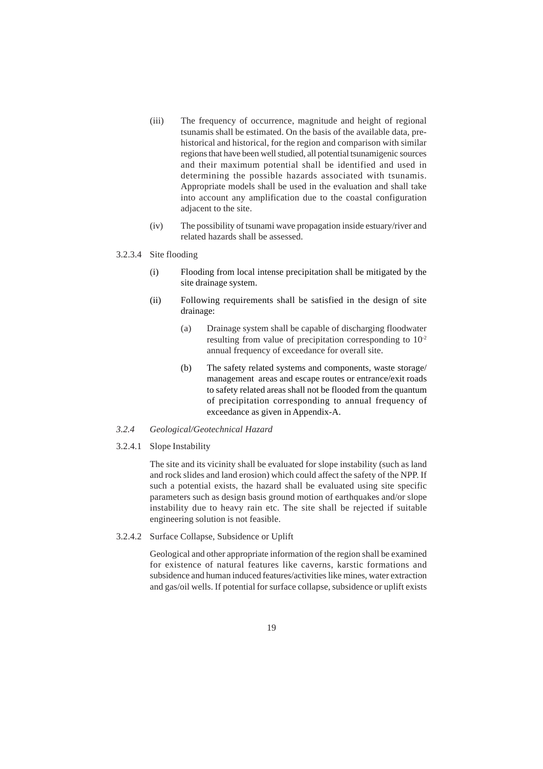- (iii) The frequency of occurrence, magnitude and height of regional tsunamis shall be estimated. On the basis of the available data, prehistorical and historical, for the region and comparison with similar regions that have been well studied, all potential tsunamigenic sources and their maximum potential shall be identified and used in determining the possible hazards associated with tsunamis. Appropriate models shall be used in the evaluation and shall take into account any amplification due to the coastal configuration adjacent to the site.
- (iv) The possibility of tsunami wave propagation inside estuary/river and related hazards shall be assessed.

#### 3.2.3.4 Site flooding

- (i) Flooding from local intense precipitation shall be mitigated by the site drainage system.
- (ii) Following requirements shall be satisfied in the design of site drainage:
	- (a) Drainage system shall be capable of discharging floodwater resulting from value of precipitation corresponding to  $10<sup>2</sup>$ annual frequency of exceedance for overall site.
	- (b) The safety related systems and components, waste storage/ management areas and escape routes or entrance/exit roads to safety related areas shall not be flooded from the quantum of precipitation corresponding to annual frequency of exceedance as given in Appendix-A.

#### *3.2.4 Geological/Geotechnical Hazard*

3.2.4.1 Slope Instability

The site and its vicinity shall be evaluated for slope instability (such as land and rock slides and land erosion) which could affect the safety of the NPP. If such a potential exists, the hazard shall be evaluated using site specific parameters such as design basis ground motion of earthquakes and/or slope instability due to heavy rain etc. The site shall be rejected if suitable engineering solution is not feasible.

3.2.4.2 Surface Collapse, Subsidence or Uplift

Geological and other appropriate information of the region shall be examined for existence of natural features like caverns, karstic formations and subsidence and human induced features/activities like mines, water extraction and gas/oil wells. If potential for surface collapse, subsidence or uplift exists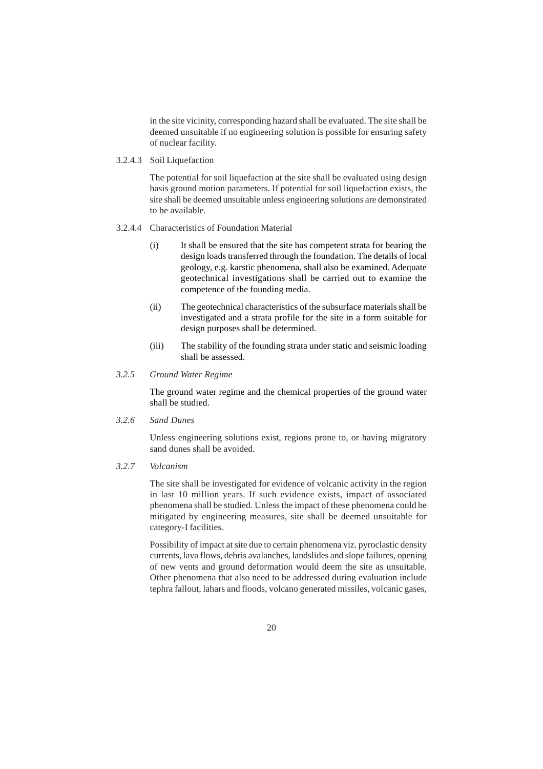in the site vicinity, corresponding hazard shall be evaluated. The site shall be deemed unsuitable if no engineering solution is possible for ensuring safety of nuclear facility.

3.2.4.3 Soil Liquefaction

The potential for soil liquefaction at the site shall be evaluated using design basis ground motion parameters. If potential for soil liquefaction exists, the site shall be deemed unsuitable unless engineering solutions are demonstrated to be available.

- 3.2.4.4 Characteristics of Foundation Material
	- (i) It shall be ensured that the site has competent strata for bearing the design loads transferred through the foundation. The details of local geology, e.g. karstic phenomena, shall also be examined. Adequate geotechnical investigations shall be carried out to examine the competence of the founding media.
	- (ii) The geotechnical characteristics of the subsurface materials shall be investigated and a strata profile for the site in a form suitable for design purposes shall be determined.
	- (iii) The stability of the founding strata under static and seismic loading shall be assessed.

# *3.2.5 Ground Water Regime*

The ground water regime and the chemical properties of the ground water shall be studied.

*3.2.6 Sand Dunes*

Unless engineering solutions exist, regions prone to, or having migratory sand dunes shall be avoided.

*3.2.7 Volcanism*

The site shall be investigated for evidence of volcanic activity in the region in last 10 million years. If such evidence exists, impact of associated phenomena shall be studied. Unless the impact of these phenomena could be mitigated by engineering measures, site shall be deemed unsuitable for category-I facilities.

Possibility of impact at site due to certain phenomena viz. pyroclastic density currents, lava flows, debris avalanches, landslides and slope failures, opening of new vents and ground deformation would deem the site as unsuitable. Other phenomena that also need to be addressed during evaluation include tephra fallout, lahars and floods, volcano generated missiles, volcanic gases,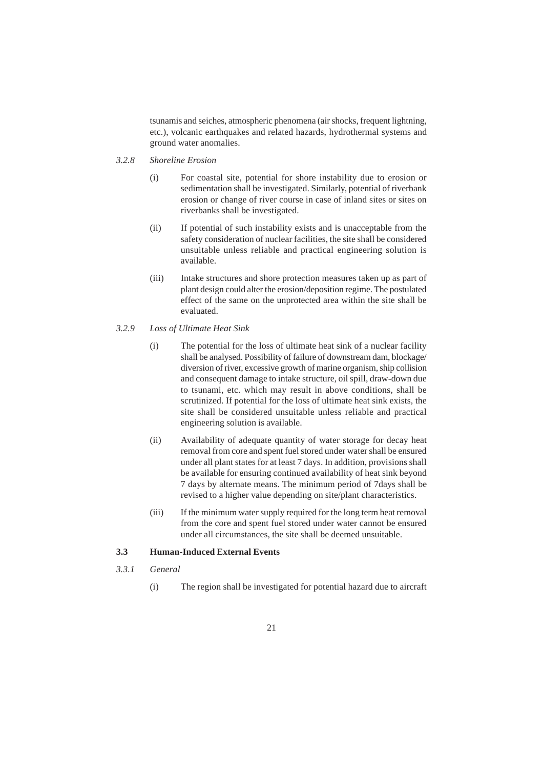tsunamis and seiches, atmospheric phenomena (air shocks, frequent lightning, etc.), volcanic earthquakes and related hazards, hydrothermal systems and ground water anomalies.

- *3.2.8 Shoreline Erosion*
	- (i) For coastal site, potential for shore instability due to erosion or sedimentation shall be investigated. Similarly, potential of riverbank erosion or change of river course in case of inland sites or sites on riverbanks shall be investigated.
	- (ii) If potential of such instability exists and is unacceptable from the safety consideration of nuclear facilities, the site shall be considered unsuitable unless reliable and practical engineering solution is available.
	- (iii) Intake structures and shore protection measures taken up as part of plant design could alter the erosion/deposition regime. The postulated effect of the same on the unprotected area within the site shall be evaluated.
- *3.2.9 Loss of Ultimate Heat Sink*
	- (i) The potential for the loss of ultimate heat sink of a nuclear facility shall be analysed. Possibility of failure of downstream dam, blockage/ diversion of river, excessive growth of marine organism, ship collision and consequent damage to intake structure, oil spill, draw-down due to tsunami, etc. which may result in above conditions, shall be scrutinized. If potential for the loss of ultimate heat sink exists, the site shall be considered unsuitable unless reliable and practical engineering solution is available.
	- (ii) Availability of adequate quantity of water storage for decay heat removal from core and spent fuel stored under water shall be ensured under all plant states for at least 7 days. In addition, provisions shall be available for ensuring continued availability of heat sink beyond 7 days by alternate means. The minimum period of 7days shall be revised to a higher value depending on site/plant characteristics.
	- (iii) If the minimum water supply required for the long term heat removal from the core and spent fuel stored under water cannot be ensured under all circumstances, the site shall be deemed unsuitable.

# **3.3 Human-Induced External Events**

- *3.3.1 General*
	- (i) The region shall be investigated for potential hazard due to aircraft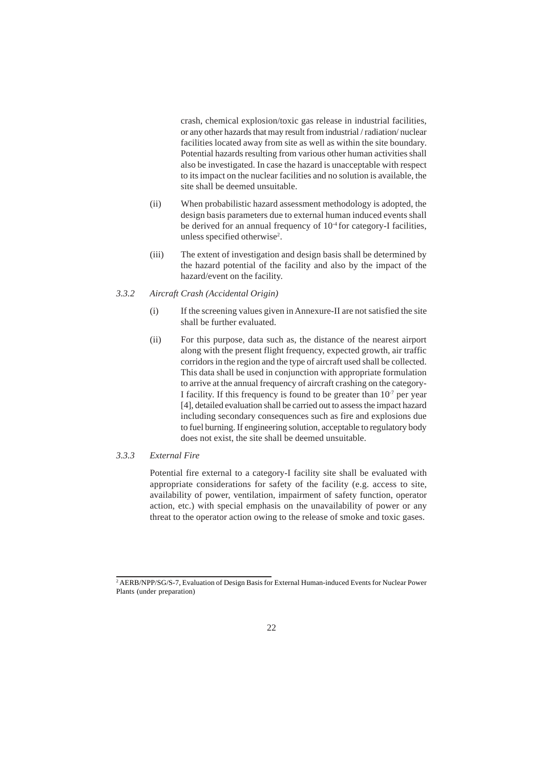crash, chemical explosion/toxic gas release in industrial facilities, or any other hazards that may result from industrial / radiation/ nuclear facilities located away from site as well as within the site boundary. Potential hazards resulting from various other human activities shall also be investigated. In case the hazard is unacceptable with respect to its impact on the nuclear facilities and no solution is available, the site shall be deemed unsuitable.

- (ii) When probabilistic hazard assessment methodology is adopted, the design basis parameters due to external human induced events shall be derived for an annual frequency of  $10<sup>4</sup>$  for category-I facilities, unless specified otherwise2 .
- (iii) The extent of investigation and design basis shall be determined by the hazard potential of the facility and also by the impact of the hazard/event on the facility.

#### *3.3.2 Aircraft Crash (Accidental Origin)*

- (i) If the screening values given in Annexure-II are not satisfied the site shall be further evaluated.
- (ii) For this purpose, data such as, the distance of the nearest airport along with the present flight frequency, expected growth, air traffic corridors in the region and the type of aircraft used shall be collected. This data shall be used in conjunction with appropriate formulation to arrive at the annual frequency of aircraft crashing on the category-I facility. If this frequency is found to be greater than  $10<sup>-7</sup>$  per year [4], detailed evaluation shall be carried out to assess the impact hazard including secondary consequences such as fire and explosions due to fuel burning. If engineering solution, acceptable to regulatory body does not exist, the site shall be deemed unsuitable.

#### *3.3.3 External Fire*

Potential fire external to a category-I facility site shall be evaluated with appropriate considerations for safety of the facility (e.g. access to site, availability of power, ventilation, impairment of safety function, operator action, etc.) with special emphasis on the unavailability of power or any threat to the operator action owing to the release of smoke and toxic gases.

<sup>2</sup> AERB/NPP/SG/S-7, Evaluation of Design Basis for External Human-induced Events for Nuclear Power Plants (under preparation)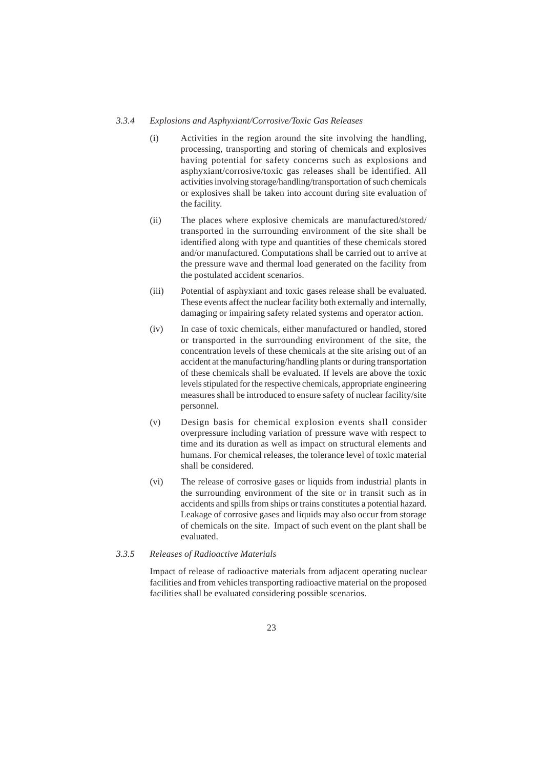#### *3.3.4 Explosions and Asphyxiant/Corrosive/Toxic Gas Releases*

- (i) Activities in the region around the site involving the handling, processing, transporting and storing of chemicals and explosives having potential for safety concerns such as explosions and asphyxiant/corrosive/toxic gas releases shall be identified. All activities involving storage/handling/transportation of such chemicals or explosives shall be taken into account during site evaluation of the facility.
- (ii) The places where explosive chemicals are manufactured/stored/ transported in the surrounding environment of the site shall be identified along with type and quantities of these chemicals stored and/or manufactured. Computations shall be carried out to arrive at the pressure wave and thermal load generated on the facility from the postulated accident scenarios.
- (iii) Potential of asphyxiant and toxic gases release shall be evaluated. These events affect the nuclear facility both externally and internally, damaging or impairing safety related systems and operator action.
- (iv) In case of toxic chemicals, either manufactured or handled, stored or transported in the surrounding environment of the site, the concentration levels of these chemicals at the site arising out of an accident at the manufacturing/handling plants or during transportation of these chemicals shall be evaluated. If levels are above the toxic levels stipulated for the respective chemicals, appropriate engineering measures shall be introduced to ensure safety of nuclear facility/site personnel.
- (v) Design basis for chemical explosion events shall consider overpressure including variation of pressure wave with respect to time and its duration as well as impact on structural elements and humans. For chemical releases, the tolerance level of toxic material shall be considered.
- (vi) The release of corrosive gases or liquids from industrial plants in the surrounding environment of the site or in transit such as in accidents and spills from ships or trains constitutes a potential hazard. Leakage of corrosive gases and liquids may also occur from storage of chemicals on the site. Impact of such event on the plant shall be evaluated.

### *3.3.5 Releases of Radioactive Materials*

Impact of release of radioactive materials from adjacent operating nuclear facilities and from vehicles transporting radioactive material on the proposed facilities shall be evaluated considering possible scenarios.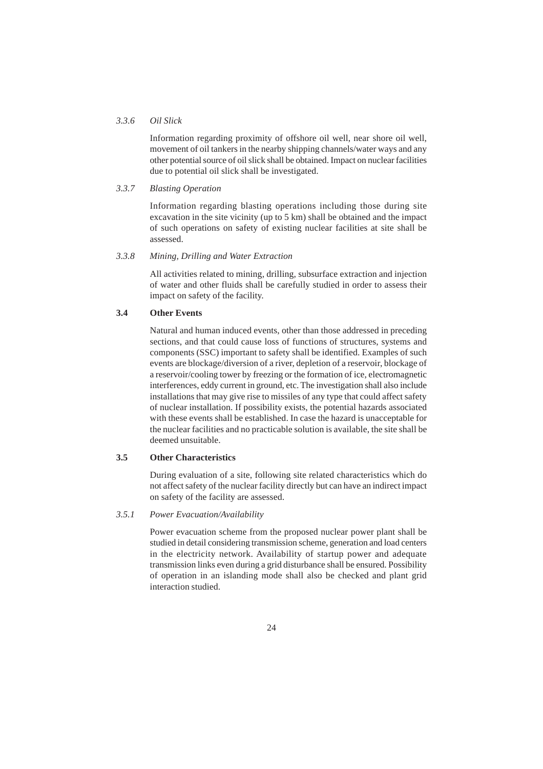#### *3.3.6 Oil Slick*

Information regarding proximity of offshore oil well, near shore oil well, movement of oil tankers in the nearby shipping channels/water ways and any other potential source of oil slick shall be obtained. Impact on nuclear facilities due to potential oil slick shall be investigated.

#### *3.3.7 Blasting Operation*

Information regarding blasting operations including those during site excavation in the site vicinity (up to 5 km) shall be obtained and the impact of such operations on safety of existing nuclear facilities at site shall be assessed.

#### *3.3.8 Mining, Drilling and Water Extraction*

All activities related to mining, drilling, subsurface extraction and injection of water and other fluids shall be carefully studied in order to assess their impact on safety of the facility.

#### **3.4 Other Events**

Natural and human induced events, other than those addressed in preceding sections, and that could cause loss of functions of structures, systems and components (SSC) important to safety shall be identified. Examples of such events are blockage/diversion of a river, depletion of a reservoir, blockage of a reservoir/cooling tower by freezing or the formation of ice, electromagnetic interferences, eddy current in ground, etc. The investigation shall also include installations that may give rise to missiles of any type that could affect safety of nuclear installation. If possibility exists, the potential hazards associated with these events shall be established. In case the hazard is unacceptable for the nuclear facilities and no practicable solution is available, the site shall be deemed unsuitable.

## **3.5 Other Characteristics**

During evaluation of a site, following site related characteristics which do not affect safety of the nuclear facility directly but can have an indirect impact on safety of the facility are assessed.

#### *3.5.1 Power Evacuation/Availability*

Power evacuation scheme from the proposed nuclear power plant shall be studied in detail considering transmission scheme, generation and load centers in the electricity network. Availability of startup power and adequate transmission links even during a grid disturbance shall be ensured. Possibility of operation in an islanding mode shall also be checked and plant grid interaction studied.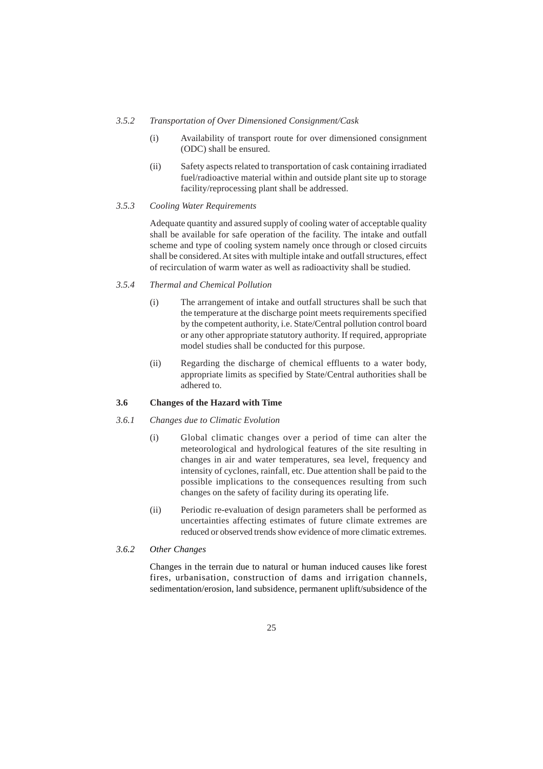#### *3.5.2 Transportation of Over Dimensioned Consignment/Cask*

- (i) Availability of transport route for over dimensioned consignment (ODC) shall be ensured.
- (ii) Safety aspects related to transportation of cask containing irradiated fuel/radioactive material within and outside plant site up to storage facility/reprocessing plant shall be addressed.

# *3.5.3 Cooling Water Requirements*

Adequate quantity and assured supply of cooling water of acceptable quality shall be available for safe operation of the facility. The intake and outfall scheme and type of cooling system namely once through or closed circuits shall be considered. At sites with multiple intake and outfall structures, effect of recirculation of warm water as well as radioactivity shall be studied.

#### *3.5.4 Thermal and Chemical Pollution*

- (i) The arrangement of intake and outfall structures shall be such that the temperature at the discharge point meets requirements specified by the competent authority, i.e. State/Central pollution control board or any other appropriate statutory authority. If required, appropriate model studies shall be conducted for this purpose.
- (ii) Regarding the discharge of chemical effluents to a water body, appropriate limits as specified by State/Central authorities shall be adhered to.

#### **3.6 Changes of the Hazard with Time**

#### *3.6.1 Changes due to Climatic Evolution*

- (i) Global climatic changes over a period of time can alter the meteorological and hydrological features of the site resulting in changes in air and water temperatures, sea level, frequency and intensity of cyclones, rainfall, etc. Due attention shall be paid to the possible implications to the consequences resulting from such changes on the safety of facility during its operating life.
- (ii) Periodic re-evaluation of design parameters shall be performed as uncertainties affecting estimates of future climate extremes are reduced or observed trends show evidence of more climatic extremes.

# *3.6.2 Other Changes*

Changes in the terrain due to natural or human induced causes like forest fires, urbanisation, construction of dams and irrigation channels, sedimentation/erosion, land subsidence, permanent uplift/subsidence of the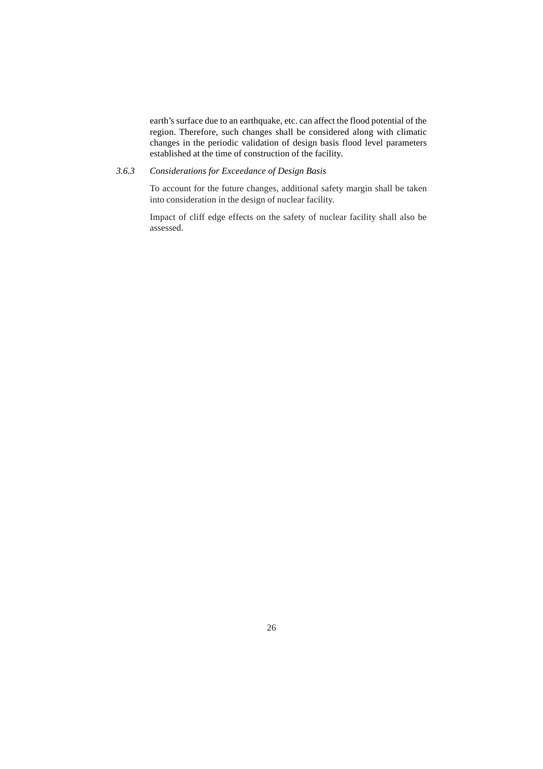earth's surface due to an earthquake, etc. can affect the flood potential of the region. Therefore, such changes shall be considered along with climatic changes in the periodic validation of design basis flood level parameters established at the time of construction of the facility.

# *3.6.3 Considerations for Exceedance of Design Basis*

To account for the future changes, additional safety margin shall be taken into consideration in the design of nuclear facility.

Impact of cliff edge effects on the safety of nuclear facility shall also be assessed.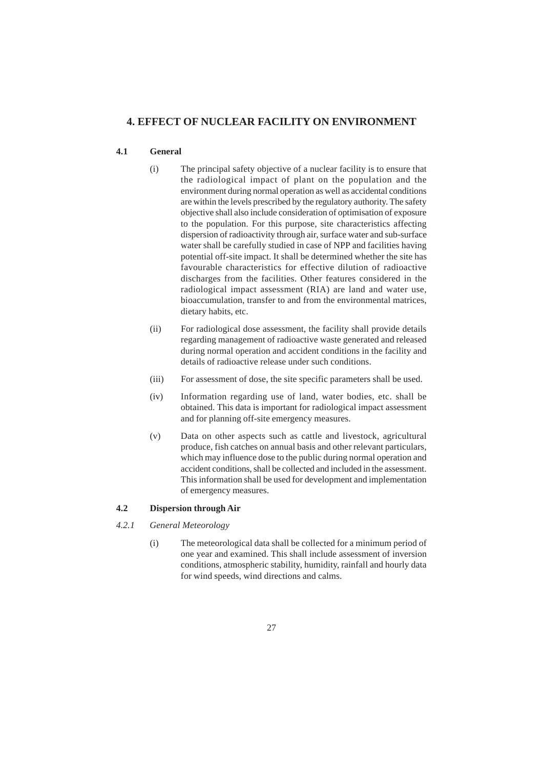# **4. EFFECT OF NUCLEAR FACILITY ON ENVIRONMENT**

# **4.1 General**

- (i) The principal safety objective of a nuclear facility is to ensure that the radiological impact of plant on the population and the environment during normal operation as well as accidental conditions are within the levels prescribed by the regulatory authority. The safety objective shall also include consideration of optimisation of exposure to the population. For this purpose, site characteristics affecting dispersion of radioactivity through air, surface water and sub-surface water shall be carefully studied in case of NPP and facilities having potential off-site impact. It shall be determined whether the site has favourable characteristics for effective dilution of radioactive discharges from the facilities. Other features considered in the radiological impact assessment (RIA) are land and water use, bioaccumulation, transfer to and from the environmental matrices, dietary habits, etc.
- (ii) For radiological dose assessment, the facility shall provide details regarding management of radioactive waste generated and released during normal operation and accident conditions in the facility and details of radioactive release under such conditions.
- (iii) For assessment of dose, the site specific parameters shall be used.
- (iv) Information regarding use of land, water bodies, etc. shall be obtained. This data is important for radiological impact assessment and for planning off-site emergency measures.
- (v) Data on other aspects such as cattle and livestock, agricultural produce, fish catches on annual basis and other relevant particulars, which may influence dose to the public during normal operation and accident conditions, shall be collected and included in the assessment. This information shall be used for development and implementation of emergency measures.

# **4.2 Dispersion through Air**

- *4.2.1 General Meteorology*
	- (i) The meteorological data shall be collected for a minimum period of one year and examined. This shall include assessment of inversion conditions, atmospheric stability, humidity, rainfall and hourly data for wind speeds, wind directions and calms.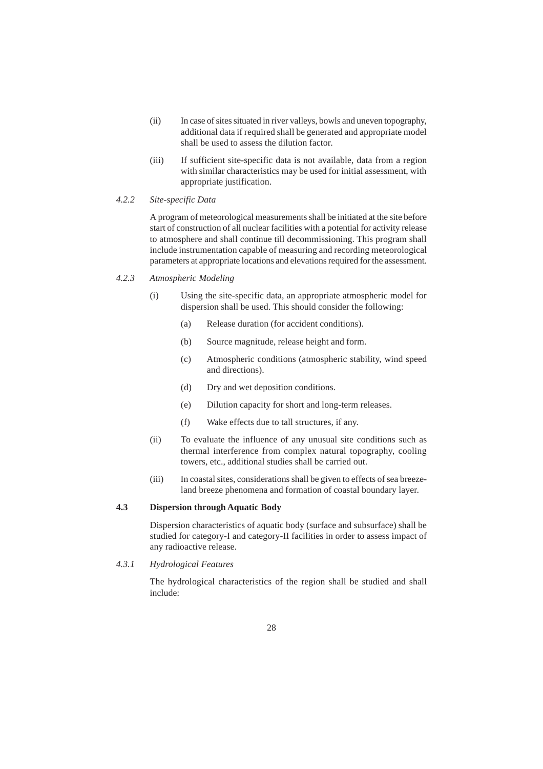- (ii) In case of sites situated in river valleys, bowls and uneven topography, additional data if required shall be generated and appropriate model shall be used to assess the dilution factor.
- (iii) If sufficient site-specific data is not available, data from a region with similar characteristics may be used for initial assessment, with appropriate justification.

#### *4.2.2 Site-specific Data*

A program of meteorological measurements shall be initiated at the site before start of construction of all nuclear facilities with a potential for activity release to atmosphere and shall continue till decommissioning. This program shall include instrumentation capable of measuring and recording meteorological parameters at appropriate locations and elevations required for the assessment.

#### *4.2.3 Atmospheric Modeling*

- (i) Using the site-specific data, an appropriate atmospheric model for dispersion shall be used. This should consider the following:
	- (a) Release duration (for accident conditions).
	- (b) Source magnitude, release height and form.
	- (c) Atmospheric conditions (atmospheric stability, wind speed and directions).
	- (d) Dry and wet deposition conditions.
	- (e) Dilution capacity for short and long-term releases.
	- (f) Wake effects due to tall structures, if any.
- (ii) To evaluate the influence of any unusual site conditions such as thermal interference from complex natural topography, cooling towers, etc., additional studies shall be carried out.
- (iii) In coastal sites, considerations shall be given to effects of sea breezeland breeze phenomena and formation of coastal boundary layer.

# **4.3 Dispersion through Aquatic Body**

Dispersion characteristics of aquatic body (surface and subsurface) shall be studied for category-I and category-II facilities in order to assess impact of any radioactive release.

# *4.3.1 Hydrological Features*

The hydrological characteristics of the region shall be studied and shall include: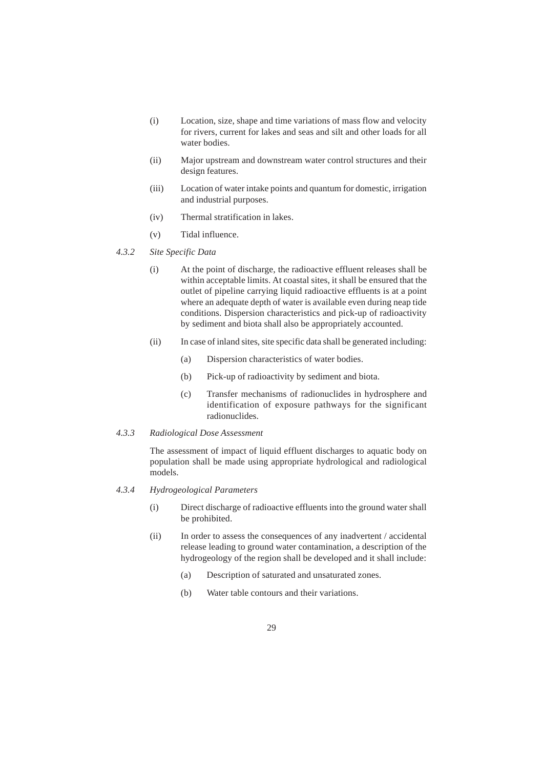- (i) Location, size, shape and time variations of mass flow and velocity for rivers, current for lakes and seas and silt and other loads for all water bodies.
- (ii) Major upstream and downstream water control structures and their design features.
- (iii) Location of water intake points and quantum for domestic, irrigation and industrial purposes.
- (iv) Thermal stratification in lakes.
- (v) Tidal influence.
- *4.3.2 Site Specific Data*
	- (i) At the point of discharge, the radioactive effluent releases shall be within acceptable limits. At coastal sites, it shall be ensured that the outlet of pipeline carrying liquid radioactive effluents is at a point where an adequate depth of water is available even during neap tide conditions. Dispersion characteristics and pick-up of radioactivity by sediment and biota shall also be appropriately accounted.
	- (ii) In case of inland sites, site specific data shall be generated including:
		- (a) Dispersion characteristics of water bodies.
		- (b) Pick-up of radioactivity by sediment and biota.
		- (c) Transfer mechanisms of radionuclides in hydrosphere and identification of exposure pathways for the significant radionuclides.
- *4.3.3 Radiological Dose Assessment*

The assessment of impact of liquid effluent discharges to aquatic body on population shall be made using appropriate hydrological and radiological models.

- *4.3.4 Hydrogeological Parameters*
	- (i) Direct discharge of radioactive effluents into the ground water shall be prohibited.
	- (ii) In order to assess the consequences of any inadvertent / accidental release leading to ground water contamination, a description of the hydrogeology of the region shall be developed and it shall include:
		- (a) Description of saturated and unsaturated zones.
		- (b) Water table contours and their variations.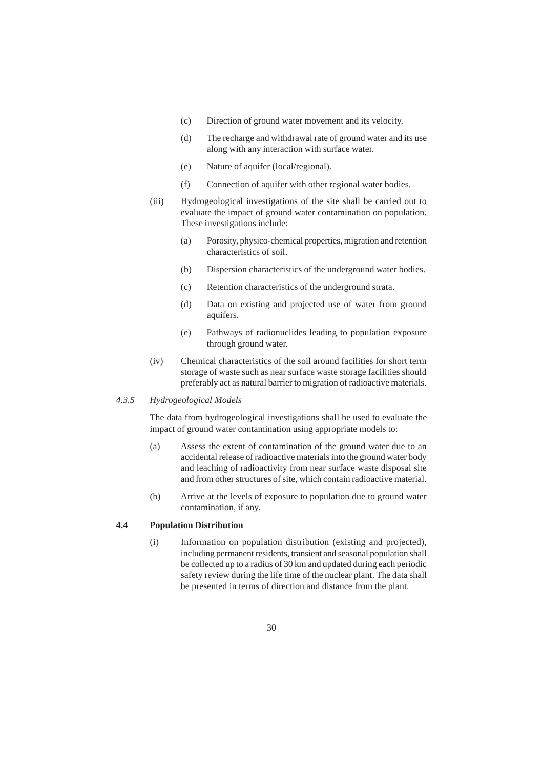- (c) Direction of ground water movement and its velocity.
- (d) The recharge and withdrawal rate of ground water and its use along with any interaction with surface water.
- (e) Nature of aquifer (local/regional).
- (f) Connection of aquifer with other regional water bodies.
- (iii) Hydrogeological investigations of the site shall be carried out to evaluate the impact of ground water contamination on population. These investigations include:
	- (a) Porosity, physico-chemical properties, migration and retention characteristics of soil.
	- (b) Dispersion characteristics of the underground water bodies.
	- (c) Retention characteristics of the underground strata.
	- (d) Data on existing and projected use of water from ground aquifers.
	- (e) Pathways of radionuclides leading to population exposure through ground water.
- (iv) Chemical characteristics of the soil around facilities for short term storage of waste such as near surface waste storage facilities should preferably act as natural barrier to migration of radioactive materials.

## *4.3.5 Hydrogeological Models*

The data from hydrogeological investigations shall be used to evaluate the impact of ground water contamination using appropriate models to:

- (a) Assess the extent of contamination of the ground water due to an accidental release of radioactive materials into the ground water body and leaching of radioactivity from near surface waste disposal site and from other structures of site, which contain radioactive material.
- (b) Arrive at the levels of exposure to population due to ground water contamination, if any.

# **4.4 Population Distribution**

(i) Information on population distribution (existing and projected), including permanent residents, transient and seasonal population shall be collected up to a radius of 30 km and updated during each periodic safety review during the life time of the nuclear plant. The data shall be presented in terms of direction and distance from the plant.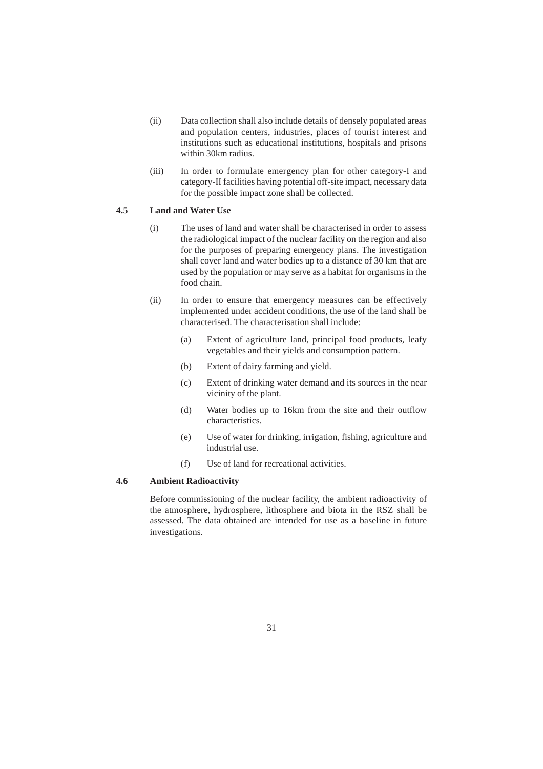- (ii) Data collection shall also include details of densely populated areas and population centers, industries, places of tourist interest and institutions such as educational institutions, hospitals and prisons within 30km radius.
- (iii) In order to formulate emergency plan for other category-I and category-II facilities having potential off-site impact, necessary data for the possible impact zone shall be collected.

# **4.5 Land and Water Use**

- (i) The uses of land and water shall be characterised in order to assess the radiological impact of the nuclear facility on the region and also for the purposes of preparing emergency plans. The investigation shall cover land and water bodies up to a distance of 30 km that are used by the population or may serve as a habitat for organisms in the food chain.
- (ii) In order to ensure that emergency measures can be effectively implemented under accident conditions, the use of the land shall be characterised. The characterisation shall include:
	- (a) Extent of agriculture land, principal food products, leafy vegetables and their yields and consumption pattern.
	- (b) Extent of dairy farming and yield.
	- (c) Extent of drinking water demand and its sources in the near vicinity of the plant.
	- (d) Water bodies up to 16km from the site and their outflow characteristics.
	- (e) Use of water for drinking, irrigation, fishing, agriculture and industrial use.
	- (f) Use of land for recreational activities.

#### **4.6 Ambient Radioactivity**

Before commissioning of the nuclear facility, the ambient radioactivity of the atmosphere, hydrosphere, lithosphere and biota in the RSZ shall be assessed. The data obtained are intended for use as a baseline in future investigations.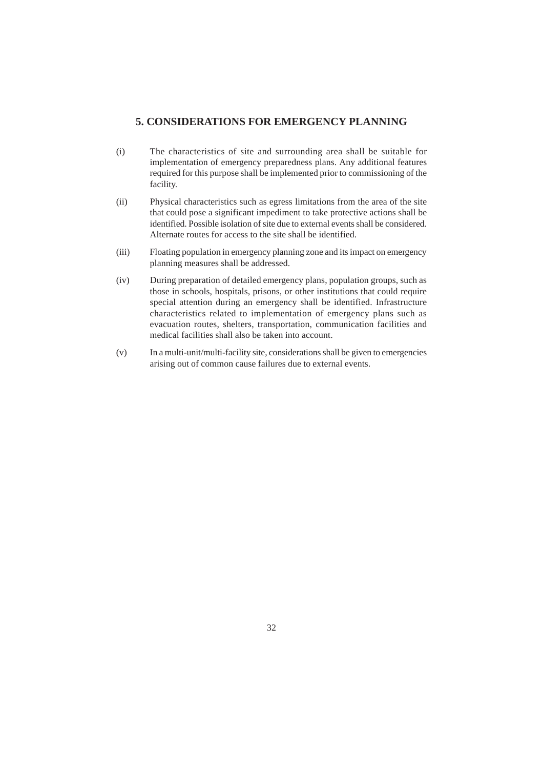# **5. CONSIDERATIONS FOR EMERGENCY PLANNING**

- (i) The characteristics of site and surrounding area shall be suitable for implementation of emergency preparedness plans. Any additional features required for this purpose shall be implemented prior to commissioning of the facility.
- (ii) Physical characteristics such as egress limitations from the area of the site that could pose a significant impediment to take protective actions shall be identified. Possible isolation of site due to external events shall be considered. Alternate routes for access to the site shall be identified.
- (iii) Floating population in emergency planning zone and its impact on emergency planning measures shall be addressed.
- (iv) During preparation of detailed emergency plans, population groups, such as those in schools, hospitals, prisons, or other institutions that could require special attention during an emergency shall be identified. Infrastructure characteristics related to implementation of emergency plans such as evacuation routes, shelters, transportation, communication facilities and medical facilities shall also be taken into account.
- (v) In a multi-unit/multi-facility site, considerations shall be given to emergencies arising out of common cause failures due to external events.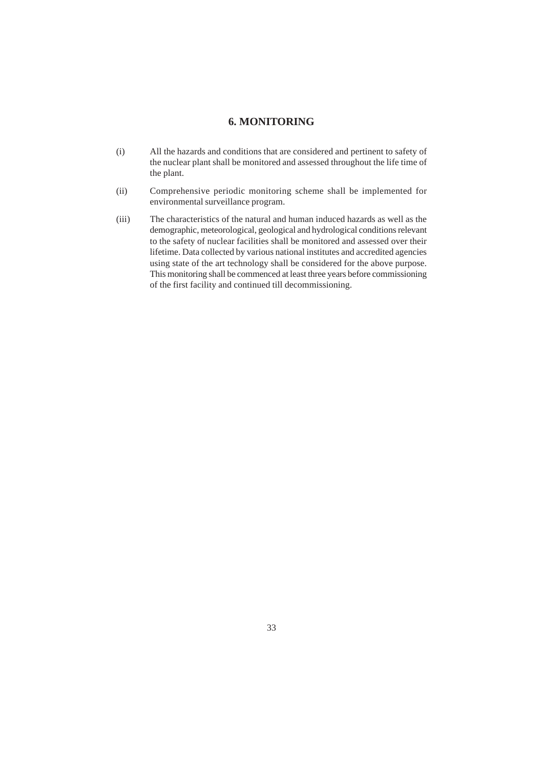# **6. MONITORING**

- (i) All the hazards and conditions that are considered and pertinent to safety of the nuclear plant shall be monitored and assessed throughout the life time of the plant.
- (ii) Comprehensive periodic monitoring scheme shall be implemented for environmental surveillance program.
- (iii) The characteristics of the natural and human induced hazards as well as the demographic, meteorological, geological and hydrological conditions relevant to the safety of nuclear facilities shall be monitored and assessed over their lifetime. Data collected by various national institutes and accredited agencies using state of the art technology shall be considered for the above purpose. This monitoring shall be commenced at least three years before commissioning of the first facility and continued till decommissioning.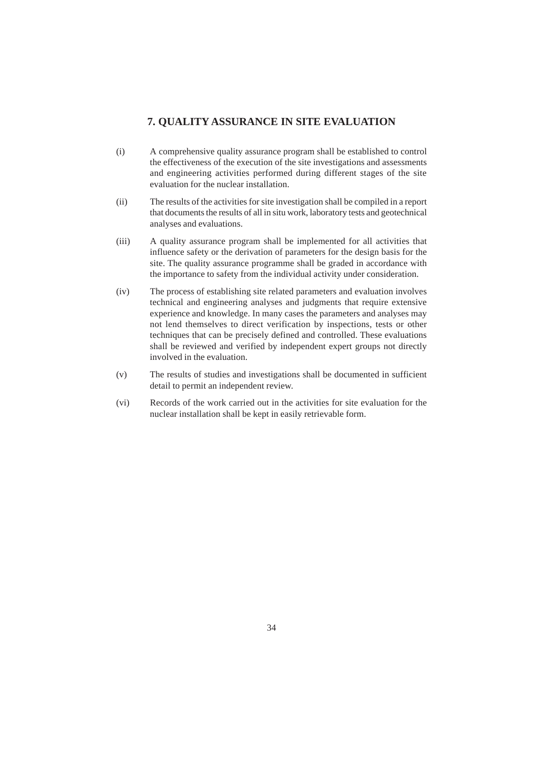# **7. QUALITY ASSURANCE IN SITE EVALUATION**

- (i) A comprehensive quality assurance program shall be established to control the effectiveness of the execution of the site investigations and assessments and engineering activities performed during different stages of the site evaluation for the nuclear installation.
- (ii) The results of the activities for site investigation shall be compiled in a report that documents the results of all in situ work, laboratory tests and geotechnical analyses and evaluations.
- (iii) A quality assurance program shall be implemented for all activities that influence safety or the derivation of parameters for the design basis for the site. The quality assurance programme shall be graded in accordance with the importance to safety from the individual activity under consideration.
- (iv) The process of establishing site related parameters and evaluation involves technical and engineering analyses and judgments that require extensive experience and knowledge. In many cases the parameters and analyses may not lend themselves to direct verification by inspections, tests or other techniques that can be precisely defined and controlled. These evaluations shall be reviewed and verified by independent expert groups not directly involved in the evaluation.
- (v) The results of studies and investigations shall be documented in sufficient detail to permit an independent review.
- (vi) Records of the work carried out in the activities for site evaluation for the nuclear installation shall be kept in easily retrievable form.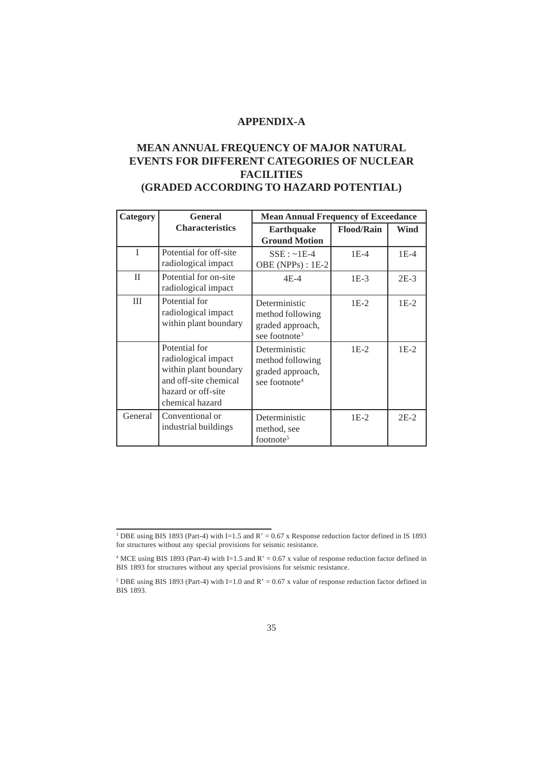# **APPENDIX-A**

# **MEAN ANNUAL FREQUENCY OF MAJOR NATURAL EVENTS FOR DIFFERENT CATEGORIES OF NUCLEAR FACILITIES (GRADED ACCORDING TO HAZARD POTENTIAL)**

| <b>Category</b> | <b>General</b>                                                                                                                  | <b>Mean Annual Frequency of Exceedance</b>                                         |                   |        |  |
|-----------------|---------------------------------------------------------------------------------------------------------------------------------|------------------------------------------------------------------------------------|-------------------|--------|--|
|                 | <b>Characteristics</b>                                                                                                          | <b>Earthquake</b><br><b>Ground Motion</b>                                          | <b>Flood/Rain</b> | Wind   |  |
| T               | Potential for off-site<br>radiological impact                                                                                   | $SSE: ~1E-4$<br>OBE (NPPs) : 1E-2                                                  | $1E-4$            | $1E-4$ |  |
| $\mathbf{I}$    | Potential for on-site<br>radiological impact                                                                                    | $4E-4$                                                                             | $1E-3$            | $2E-3$ |  |
| III             | Potential for<br>radiological impact<br>within plant boundary                                                                   | Deterministic<br>method following<br>graded approach,<br>see footnote <sup>3</sup> | $1E-2$            | $1E-2$ |  |
|                 | Potential for<br>radiological impact<br>within plant boundary<br>and off-site chemical<br>hazard or off-site<br>chemical hazard | Deterministic<br>method following<br>graded approach,<br>see footnote <sup>4</sup> | $1E-2$            | $1E-2$ |  |
| General         | Conventional or<br>industrial buildings                                                                                         | Deterministic<br>method, see<br>footnote <sup>5</sup>                              | $1E-2$            | $2E-2$ |  |

<sup>&</sup>lt;sup>3</sup> DBE using BIS 1893 (Part-4) with I=1.5 and R' = 0.67 x Response reduction factor defined in IS 1893 for structures without any special provisions for seismic resistance.

<sup>&</sup>lt;sup>4</sup> MCE using BIS 1893 (Part-4) with I=1.5 and R' = 0.67 x value of response reduction factor defined in BIS 1893 for structures without any special provisions for seismic resistance.

<sup>&</sup>lt;sup>5</sup> DBE using BIS 1893 (Part-4) with I=1.0 and R' = 0.67 x value of response reduction factor defined in BIS 1893.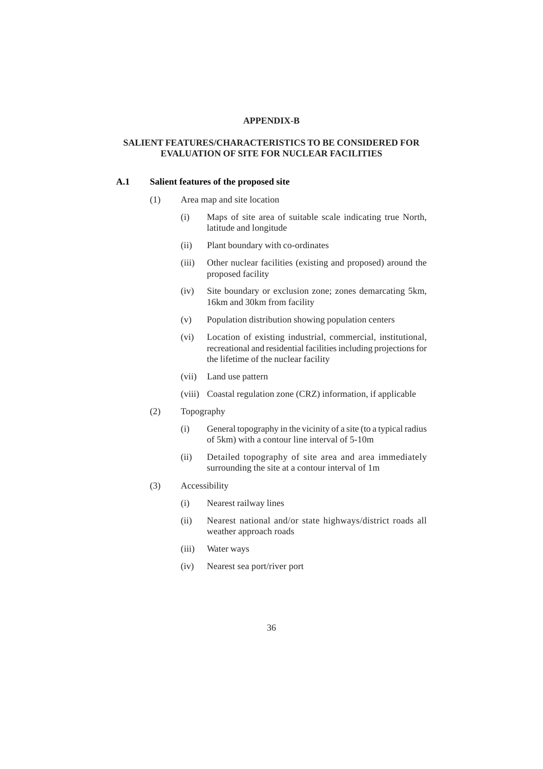## **APPENDIX-B**

## **SALIENT FEATURES/CHARACTERISTICS TO BE CONSIDERED FOR EVALUATION OF SITE FOR NUCLEAR FACILITIES**

#### **A.1 Salient features of the proposed site**

- (1) Area map and site location
	- (i) Maps of site area of suitable scale indicating true North, latitude and longitude
	- (ii) Plant boundary with co-ordinates
	- (iii) Other nuclear facilities (existing and proposed) around the proposed facility
	- (iv) Site boundary or exclusion zone; zones demarcating 5km, 16km and 30km from facility
	- (v) Population distribution showing population centers
	- (vi) Location of existing industrial, commercial, institutional, recreational and residential facilities including projections for the lifetime of the nuclear facility
	- (vii) Land use pattern
	- (viii) Coastal regulation zone (CRZ) information, if applicable
- (2) Topography
	- (i) General topography in the vicinity of a site (to a typical radius of 5km) with a contour line interval of 5-10m
	- (ii) Detailed topography of site area and area immediately surrounding the site at a contour interval of 1m
- (3) Accessibility
	- (i) Nearest railway lines
	- (ii) Nearest national and/or state highways/district roads all weather approach roads
	- (iii) Water ways
	- (iv) Nearest sea port/river port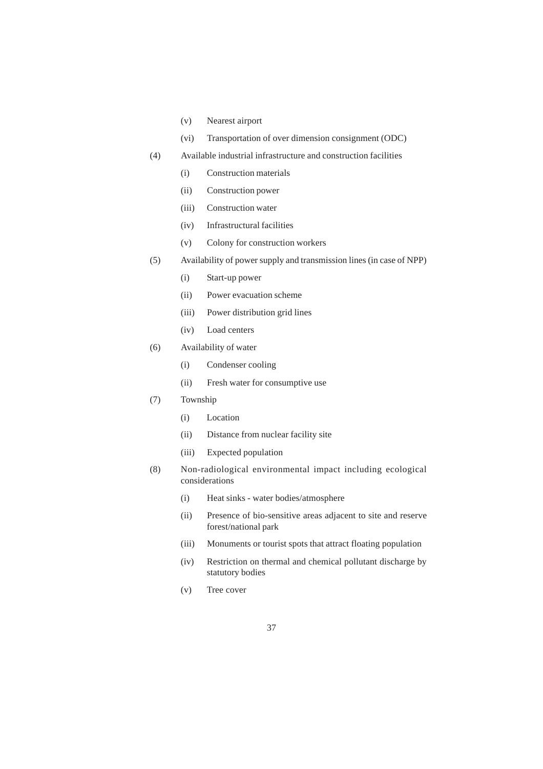- (v) Nearest airport
- (vi) Transportation of over dimension consignment (ODC)
- (4) Available industrial infrastructure and construction facilities
	- (i) Construction materials
	- (ii) Construction power
	- (iii) Construction water
	- (iv) Infrastructural facilities
	- (v) Colony for construction workers
- (5) Availability of power supply and transmission lines (in case of NPP)
	- (i) Start-up power
	- (ii) Power evacuation scheme
	- (iii) Power distribution grid lines
	- (iv) Load centers
- (6) Availability of water
	- (i) Condenser cooling
	- (ii) Fresh water for consumptive use
- (7) Township
	- (i) Location
	- (ii) Distance from nuclear facility site
	- (iii) Expected population
- (8) Non-radiological environmental impact including ecological considerations
	- (i) Heat sinks water bodies/atmosphere
	- (ii) Presence of bio-sensitive areas adjacent to site and reserve forest/national park
	- (iii) Monuments or tourist spots that attract floating population
	- (iv) Restriction on thermal and chemical pollutant discharge by statutory bodies
	- (v) Tree cover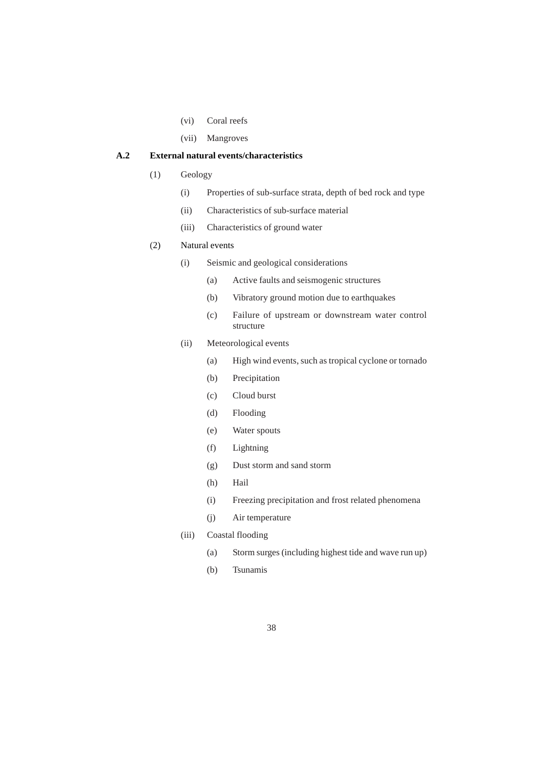- (vi) Coral reefs
- (vii) Mangroves

# **A.2 External natural events/characteristics**

- (1) Geology
	- (i) Properties of sub-surface strata, depth of bed rock and type
	- (ii) Characteristics of sub-surface material
	- (iii) Characteristics of ground water

# (2) Natural events

- (i) Seismic and geological considerations
	- (a) Active faults and seismogenic structures
	- (b) Vibratory ground motion due to earthquakes
	- (c) Failure of upstream or downstream water control structure
- (ii) Meteorological events
	- (a) High wind events, such as tropical cyclone or tornado
	- (b) Precipitation
	- (c) Cloud burst
	- (d) Flooding
	- (e) Water spouts
	- (f) Lightning
	- (g) Dust storm and sand storm
	- (h) Hail
	- (i) Freezing precipitation and frost related phenomena
	- (j) Air temperature
- (iii) Coastal flooding
	- (a) Storm surges (including highest tide and wave run up)
	- (b) Tsunamis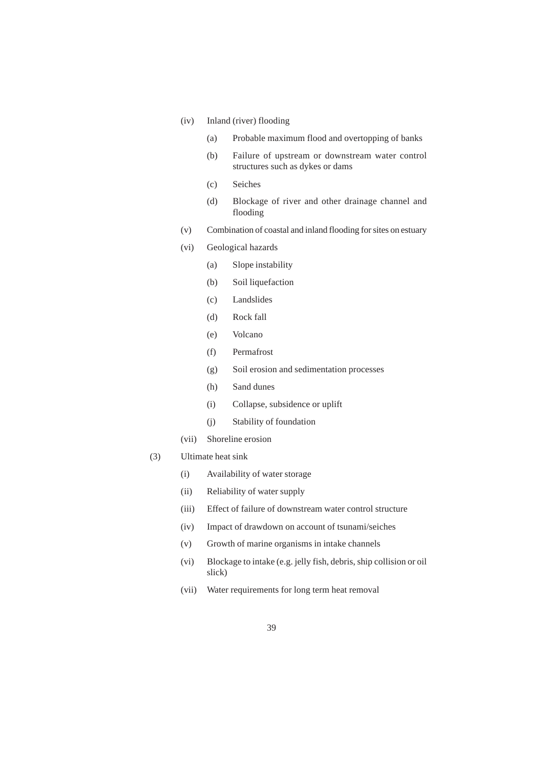# (iv) Inland (river) flooding

- (a) Probable maximum flood and overtopping of banks
- (b) Failure of upstream or downstream water control structures such as dykes or dams
- (c) Seiches
- (d) Blockage of river and other drainage channel and flooding
- (v) Combination of coastal and inland flooding for sites on estuary
- (vi) Geological hazards
	- (a) Slope instability
	- (b) Soil liquefaction
	- (c) Landslides
	- (d) Rock fall
	- (e) Volcano
	- (f) Permafrost
	- (g) Soil erosion and sedimentation processes
	- (h) Sand dunes
	- (i) Collapse, subsidence or uplift
	- (j) Stability of foundation
- (vii) Shoreline erosion
- (3) Ultimate heat sink
	- (i) Availability of water storage
	- (ii) Reliability of water supply
	- (iii) Effect of failure of downstream water control structure
	- (iv) Impact of drawdown on account of tsunami/seiches
	- (v) Growth of marine organisms in intake channels
	- (vi) Blockage to intake (e.g. jelly fish, debris, ship collision or oil slick)
	- (vii) Water requirements for long term heat removal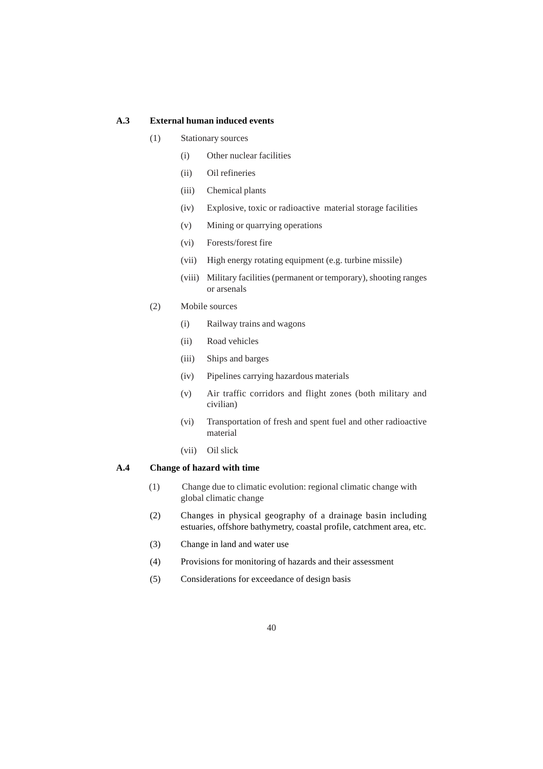## **A.3 External human induced events**

- (1) Stationary sources
	- (i) Other nuclear facilities
	- (ii) Oil refineries
	- (iii) Chemical plants
	- (iv) Explosive, toxic or radioactive material storage facilities
	- (v) Mining or quarrying operations
	- (vi) Forests/forest fire
	- (vii) High energy rotating equipment (e.g. turbine missile)
	- (viii) Military facilities (permanent or temporary), shooting ranges or arsenals
- (2) Mobile sources
	- (i) Railway trains and wagons
	- (ii) Road vehicles
	- (iii) Ships and barges
	- (iv) Pipelines carrying hazardous materials
	- (v) Air traffic corridors and flight zones (both military and civilian)
	- (vi) Transportation of fresh and spent fuel and other radioactive material
	- (vii) Oil slick

# **A.4 Change of hazard with time**

- (1) Change due to climatic evolution: regional climatic change with global climatic change
- (2) Changes in physical geography of a drainage basin including estuaries, offshore bathymetry, coastal profile, catchment area, etc.
- (3) Change in land and water use
- (4) Provisions for monitoring of hazards and their assessment
- (5) Considerations for exceedance of design basis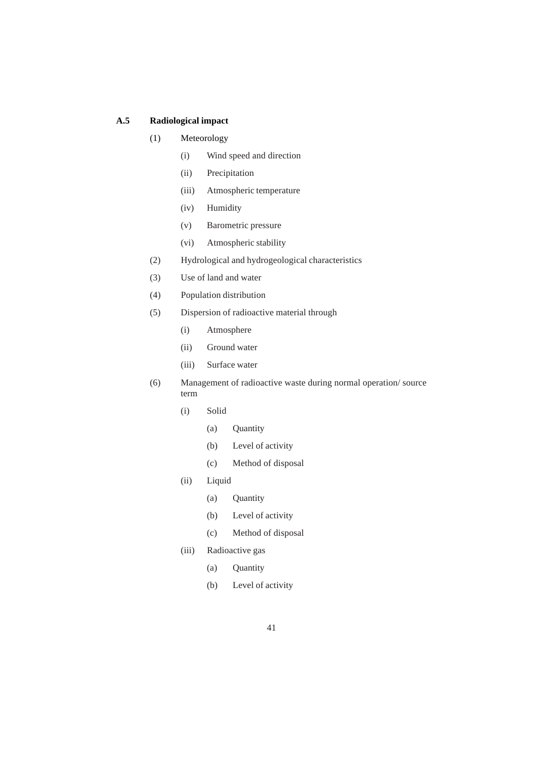# **A.5 Radiological impact**

# (1) Meteorology

- (i) Wind speed and direction
- (ii) Precipitation
- (iii) Atmospheric temperature
- (iv) Humidity
- (v) Barometric pressure
- (vi) Atmospheric stability
- (2) Hydrological and hydrogeological characteristics
- (3) Use of land and water
- (4) Population distribution
- (5) Dispersion of radioactive material through
	- (i) Atmosphere
	- (ii) Ground water
	- (iii) Surface water
- (6) Management of radioactive waste during normal operation/ source term
	- (i) Solid
		- (a) Quantity
		- (b) Level of activity
		- (c) Method of disposal
	- (ii) Liquid
		- (a) Quantity
		- (b) Level of activity
		- (c) Method of disposal
	- (iii) Radioactive gas
		- (a) Quantity
		- (b) Level of activity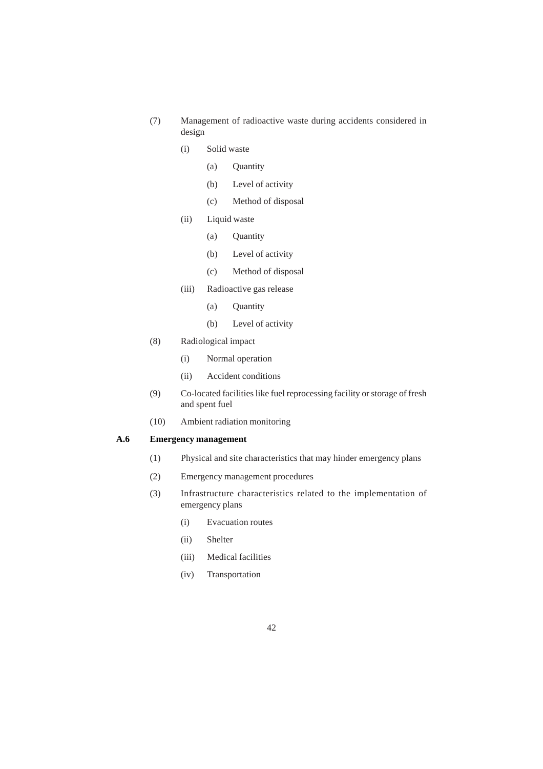- (7) Management of radioactive waste during accidents considered in design
	- (i) Solid waste
		- (a) Quantity
		- (b) Level of activity
		- (c) Method of disposal
	- (ii) Liquid waste
		- (a) Quantity
		- (b) Level of activity
		- (c) Method of disposal
	- (iii) Radioactive gas release
		- (a) Quantity
		- (b) Level of activity
- (8) Radiological impact
	- (i) Normal operation
	- (ii) Accident conditions
- (9) Co-located facilities like fuel reprocessing facility or storage of fresh and spent fuel
- (10) Ambient radiation monitoring

# **A.6 Emergency management**

- (1) Physical and site characteristics that may hinder emergency plans
- (2) Emergency management procedures
- (3) Infrastructure characteristics related to the implementation of emergency plans
	- (i) Evacuation routes
	- (ii) Shelter
	- (iii) Medical facilities
	- (iv) Transportation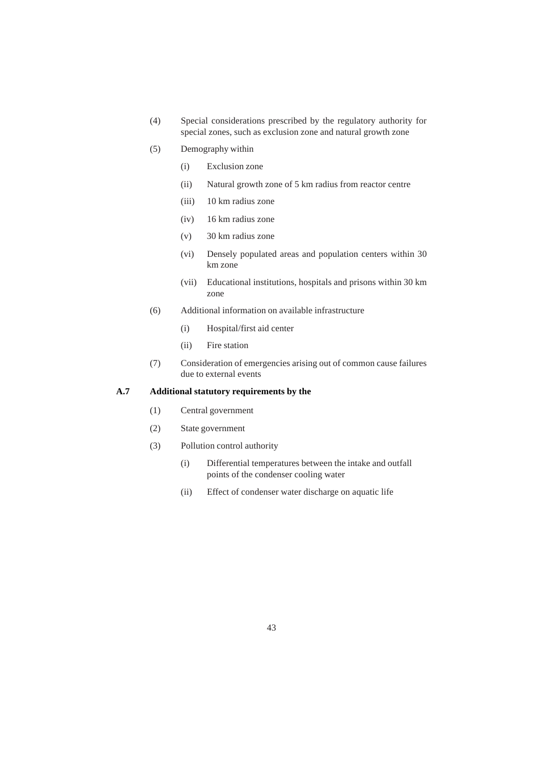- (4) Special considerations prescribed by the regulatory authority for special zones, such as exclusion zone and natural growth zone
- (5) Demography within
	- (i) Exclusion zone
	- (ii) Natural growth zone of 5 km radius from reactor centre
	- (iii) 10 km radius zone
	- (iv) 16 km radius zone
	- (v) 30 km radius zone
	- (vi) Densely populated areas and population centers within 30 km zone
	- (vii) Educational institutions, hospitals and prisons within 30 km zone
- (6) Additional information on available infrastructure
	- (i) Hospital/first aid center
	- (ii) Fire station
- (7) Consideration of emergencies arising out of common cause failures due to external events

# **A.7 Additional statutory requirements by the**

- (1) Central government
- (2) State government
- (3) Pollution control authority
	- (i) Differential temperatures between the intake and outfall points of the condenser cooling water
	- (ii) Effect of condenser water discharge on aquatic life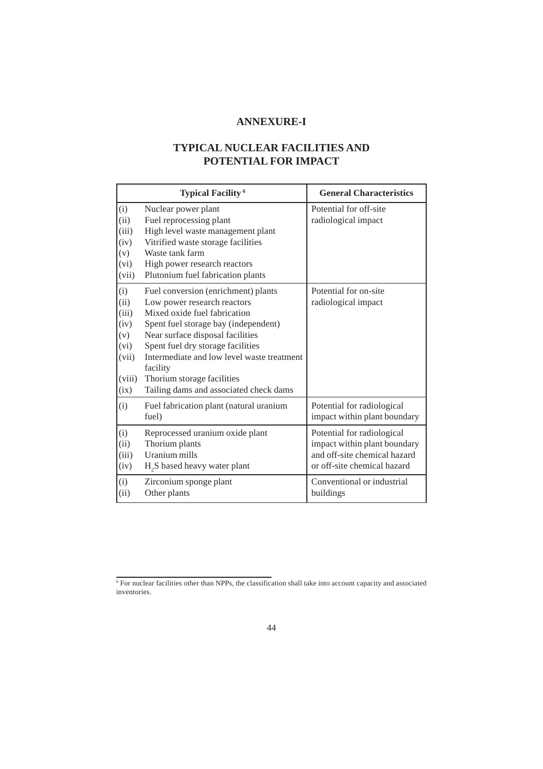# **ANNEXURE-I**

# **TYPICAL NUCLEAR FACILITIES AND POTENTIAL FOR IMPACT**

|                                                                        | <b>Typical Facility<sup>6</sup></b>                                                                                                                                                                                                                                                                                                                   | <b>General Characteristics</b>                                                                                            |
|------------------------------------------------------------------------|-------------------------------------------------------------------------------------------------------------------------------------------------------------------------------------------------------------------------------------------------------------------------------------------------------------------------------------------------------|---------------------------------------------------------------------------------------------------------------------------|
| (i)<br>(ii)<br>(iii)<br>(iv)<br>(v)                                    | Nuclear power plant<br>Fuel reprocessing plant<br>High level waste management plant<br>Vitrified waste storage facilities<br>Waste tank farm                                                                                                                                                                                                          | Potential for off-site<br>radiological impact                                                                             |
| (vi)<br>(vii)                                                          | High power research reactors<br>Plutonium fuel fabrication plants                                                                                                                                                                                                                                                                                     |                                                                                                                           |
| (i)<br>(ii)<br>(iii)<br>(iv)<br>(v)<br>(vi)<br>(vii)<br>(viii)<br>(ix) | Fuel conversion (enrichment) plants<br>Low power research reactors<br>Mixed oxide fuel fabrication<br>Spent fuel storage bay (independent)<br>Near surface disposal facilities<br>Spent fuel dry storage facilities<br>Intermediate and low level waste treatment<br>facility<br>Thorium storage facilities<br>Tailing dams and associated check dams | Potential for on-site<br>radiological impact                                                                              |
| (i)                                                                    | Fuel fabrication plant (natural uranium<br>fuel)                                                                                                                                                                                                                                                                                                      | Potential for radiological<br>impact within plant boundary                                                                |
| (i)<br>(ii)<br>(iii)<br>(iv)                                           | Reprocessed uranium oxide plant<br>Thorium plants<br>Uranium mills<br>H <sub>2</sub> S based heavy water plant                                                                                                                                                                                                                                        | Potential for radiological<br>impact within plant boundary<br>and off-site chemical hazard<br>or off-site chemical hazard |
| (i)<br>(ii)                                                            | Zirconium sponge plant<br>Other plants                                                                                                                                                                                                                                                                                                                | Conventional or industrial<br>buildings                                                                                   |

<sup>6</sup> For nuclear facilities other than NPPs, the classification shall take into account capacity and associated inventories.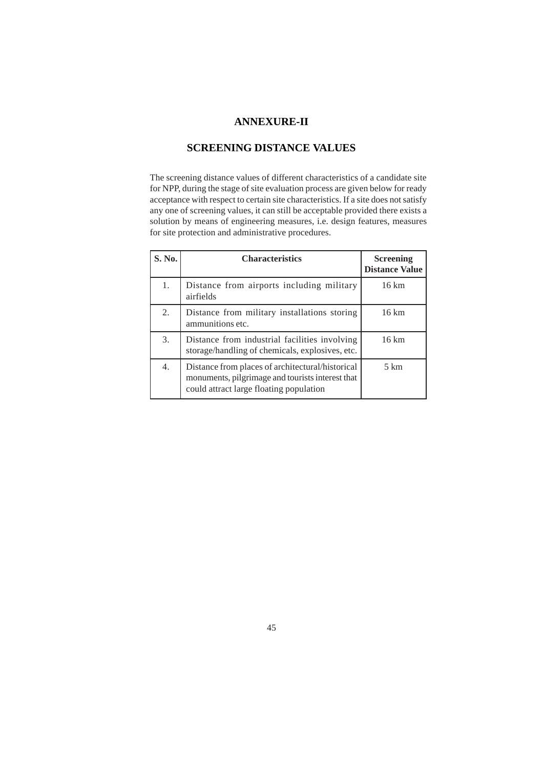# **ANNEXURE-II**

# **SCREENING DISTANCE VALUES**

The screening distance values of different characteristics of a candidate site for NPP, during the stage of site evaluation process are given below for ready acceptance with respect to certain site characteristics. If a site does not satisfy any one of screening values, it can still be acceptable provided there exists a solution by means of engineering measures, i.e. design features, measures for site protection and administrative procedures.

| S. No. | <b>Characteristics</b>                                                                                                                          | <b>Screening</b><br><b>Distance Value</b> |
|--------|-------------------------------------------------------------------------------------------------------------------------------------------------|-------------------------------------------|
| 1.     | Distance from airports including military<br>airfields                                                                                          | $16 \text{ km}$                           |
| 2.     | Distance from military installations storing<br>ammunitions etc.                                                                                | 16 km                                     |
| 3.     | Distance from industrial facilities involving<br>storage/handling of chemicals, explosives, etc.                                                | 16 km                                     |
| 4.     | Distance from places of architectural/historical<br>monuments, pilgrimage and tourists interest that<br>could attract large floating population | $5 \text{ km}$                            |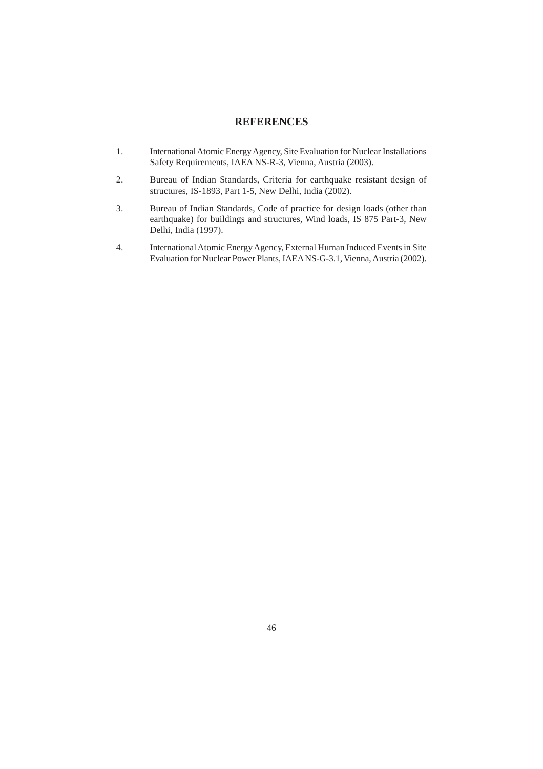# **REFERENCES**

- 1. International Atomic Energy Agency, Site Evaluation for Nuclear Installations Safety Requirements, IAEA NS-R-3, Vienna, Austria (2003).
- 2. Bureau of Indian Standards, Criteria for earthquake resistant design of structures, IS-1893, Part 1-5, New Delhi, India (2002).
- 3. Bureau of Indian Standards, Code of practice for design loads (other than earthquake) for buildings and structures, Wind loads, IS 875 Part-3, New Delhi, India (1997).
- 4. International Atomic Energy Agency, External Human Induced Events in Site Evaluation for Nuclear Power Plants, IAEA NS-G-3.1, Vienna, Austria (2002).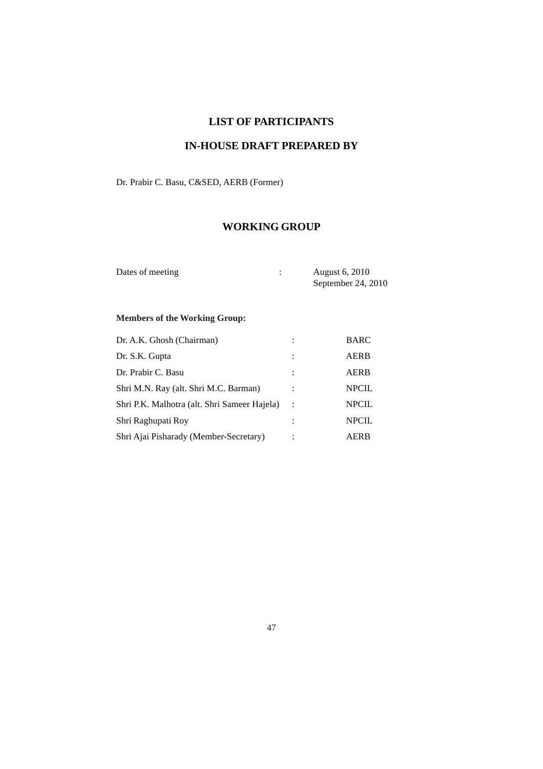# **LIST OF PARTICIPANTS**

# **IN-HOUSE DRAFT PREPARED BY**

Dr. Prabir C. Basu, C&SED, AERB (Former)

# **WORKING GROUP**

| Dates of meeting | August 6, 2010     |
|------------------|--------------------|
|                  | September 24, 2010 |

# **Members of the Working Group:**

| Dr. A.K. Ghosh (Chairman)                    | $\ddot{\cdot}$ | BARC         |
|----------------------------------------------|----------------|--------------|
| Dr. S.K. Gupta                               | ÷              | <b>AERB</b>  |
| Dr. Prabir C. Basu                           |                | AERB         |
| Shri M.N. Ray (alt. Shri M.C. Barman)        |                | <b>NPCIL</b> |
| Shri P.K. Malhotra (alt. Shri Sameer Hajela) | $\ddot{\cdot}$ | <b>NPCIL</b> |
| Shri Raghupati Roy                           | $\ddot{\cdot}$ | <b>NPCIL</b> |
| Shri Ajai Pisharady (Member-Secretary)       |                | AERB         |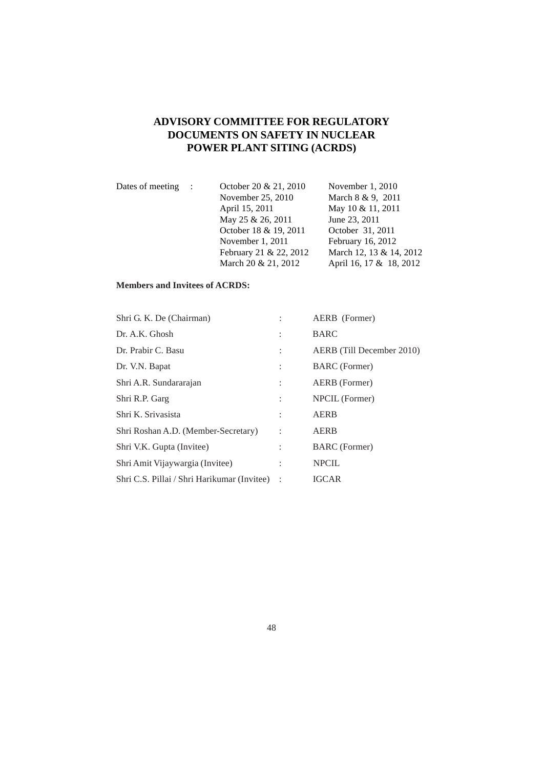# **ADVISORY COMMITTEE FOR REGULATORY DOCUMENTS ON SAFETY IN NUCLEAR POWER PLANT SITING (ACRDS)**

| Dates of meeting : | October 20 & 21, 2010  | November $1, 2010$      |
|--------------------|------------------------|-------------------------|
|                    | November 25, 2010      | March 8 & 9, 2011       |
|                    | April 15, 2011         | May 10 & 11, 2011       |
|                    | May 25 & 26, 2011      | June 23, 2011           |
|                    | October 18 & 19, 2011  | October 31, 2011        |
|                    | November 1, 2011       | February 16, 2012       |
|                    | February 21 & 22, 2012 | March 12, 13 & 14, 2012 |
|                    | March 20 & 21, 2012    | April 16, 17 & 18, 2012 |

# **Members and Invitees of ACRDS:**

| Shri G. K. De (Chairman)                    |                      | AERB (Former)             |
|---------------------------------------------|----------------------|---------------------------|
| Dr. A.K. Ghosh                              | $\vdots$             | <b>BARC</b>               |
| Dr. Prabir C. Basu                          | $\ddot{\phantom{a}}$ | AERB (Till December 2010) |
| Dr. V.N. Bapat                              | $\ddot{\phantom{a}}$ | <b>BARC</b> (Former)      |
| Shri A.R. Sundararajan                      | $\ddot{\cdot}$       | AERB (Former)             |
| Shri R.P. Garg                              | $\ddot{\cdot}$       | NPCIL (Former)            |
| Shri K. Srivasista                          | $\ddot{\cdot}$       | <b>AERB</b>               |
| Shri Roshan A.D. (Member-Secretary)         | $\ddot{\phantom{a}}$ | <b>AERB</b>               |
| Shri V.K. Gupta (Invitee)                   | $\vdots$             | <b>BARC</b> (Former)      |
| Shri Amit Vijaywargia (Invitee)             | $\ddot{\cdot}$       | <b>NPCIL</b>              |
| Shri C.S. Pillai / Shri Harikumar (Invitee) |                      | <b>IGCAR</b>              |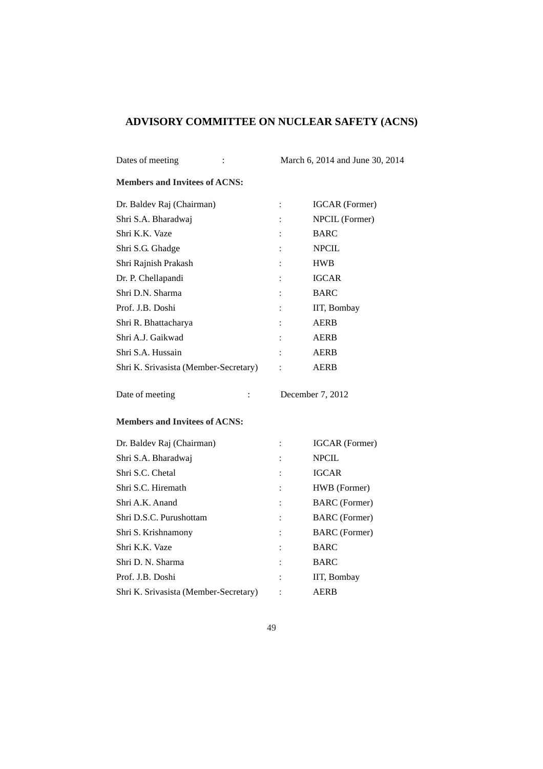# **ADVISORY COMMITTEE ON NUCLEAR SAFETY (ACNS)**

| Dates of meeting<br>:                 |                | March 6, 2014 and June 30, 2014 |
|---------------------------------------|----------------|---------------------------------|
| <b>Members and Invitees of ACNS:</b>  |                |                                 |
| Dr. Baldev Raj (Chairman)             | $\ddot{\cdot}$ | <b>IGCAR</b> (Former)           |
| Shri S.A. Bharadwaj                   |                | NPCIL (Former)                  |
| Shri K.K. Vaze                        |                | <b>BARC</b>                     |
| Shri S.G. Ghadge                      |                | <b>NPCIL</b>                    |
| Shri Rajnish Prakash                  |                | <b>HWB</b>                      |
| Dr. P. Chellapandi                    |                | <b>IGCAR</b>                    |
| Shri D.N. Sharma                      |                | <b>BARC</b>                     |
| Prof. J.B. Doshi                      |                | IIT, Bombay                     |
| Shri R. Bhattacharya                  |                | <b>AERB</b>                     |
| Shri A.J. Gaikwad                     |                | <b>AERB</b>                     |
| Shri S.A. Hussain                     |                | <b>AERB</b>                     |
| Shri K. Srivasista (Member-Secretary) |                | <b>AERB</b>                     |
| Date of meeting<br>$\ddot{\cdot}$     |                | December 7, 2012                |
| <b>Members and Invitees of ACNS:</b>  |                |                                 |
| Dr. Baldev Raj (Chairman)             |                | <b>IGCAR</b> (Former)           |
| Shri S.A. Bharadwaj                   |                | <b>NPCIL</b>                    |
| Shri S.C. Chetal                      |                | <b>IGCAR</b>                    |
| Shri S.C. Hiremath                    |                | HWB (Former)                    |
| Shri A.K. Anand                       |                | <b>BARC</b> (Former)            |
| Shri D.S.C. Purushottam               |                | <b>BARC</b> (Former)            |
| Shri S. Krishnamony                   |                | <b>BARC</b> (Former)            |
| Shri K.K. Vaze                        |                | <b>BARC</b>                     |
| Shri D. N. Sharma                     |                | <b>BARC</b>                     |
| Prof. J.B. Doshi                      |                | IIT, Bombay                     |
| Shri K. Srivasista (Member-Secretary) |                | AERB                            |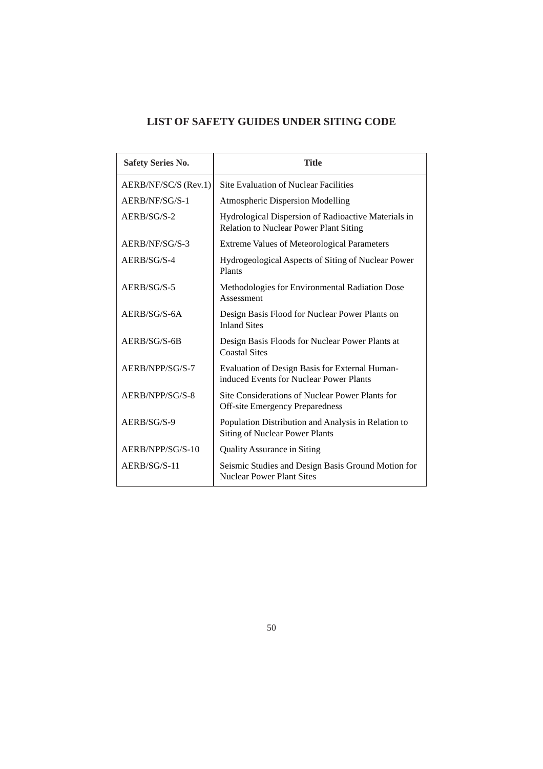# **LIST OF SAFETY GUIDES UNDER SITING CODE**

| <b>Safety Series No.</b> | <b>Title</b>                                                                                         |
|--------------------------|------------------------------------------------------------------------------------------------------|
| AERB/NF/SC/S (Rev.1)     | <b>Site Evaluation of Nuclear Facilities</b>                                                         |
| AERB/NF/SG/S-1           | <b>Atmospheric Dispersion Modelling</b>                                                              |
| $AERB/SG/S-2$            | Hydrological Dispersion of Radioactive Materials in<br><b>Relation to Nuclear Power Plant Siting</b> |
| AERB/NF/SG/S-3           | <b>Extreme Values of Meteorological Parameters</b>                                                   |
| $AERB/SG/S-4$            | Hydrogeological Aspects of Siting of Nuclear Power<br>Plants                                         |
| $AERB/SG/S-5$            | Methodologies for Environmental Radiation Dose<br>Assessment                                         |
| AERB/SG/S-6A             | Design Basis Flood for Nuclear Power Plants on<br><b>Inland Sites</b>                                |
| AERB/SG/S-6B             | Design Basis Floods for Nuclear Power Plants at<br><b>Coastal Sites</b>                              |
| AERB/NPP/SG/S-7          | Evaluation of Design Basis for External Human-<br>induced Events for Nuclear Power Plants            |
| AERB/NPP/SG/S-8          | Site Considerations of Nuclear Power Plants for<br><b>Off-site Emergency Preparedness</b>            |
| $AERB/SG/S-9$            | Population Distribution and Analysis in Relation to<br><b>Siting of Nuclear Power Plants</b>         |
| AERB/NPP/SG/S-10         | <b>Quality Assurance in Siting</b>                                                                   |
| AERB/SG/S-11             | Seismic Studies and Design Basis Ground Motion for<br><b>Nuclear Power Plant Sites</b>               |